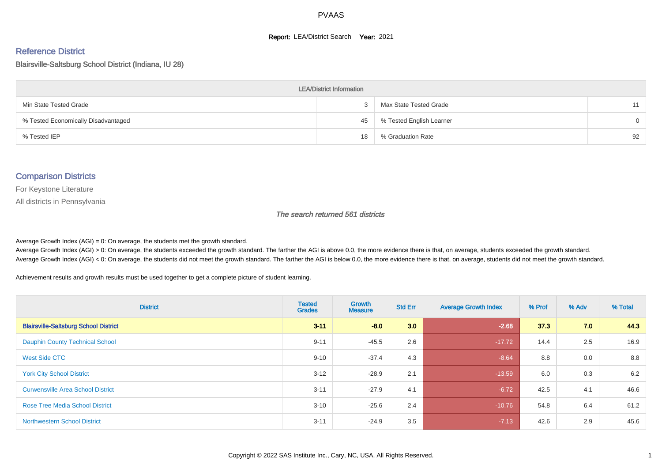#### **Report: LEA/District Search Year: 2021**

#### Reference District

#### Blairsville-Saltsburg School District (Indiana, IU 28)

| <b>LEA/District Information</b>     |    |                          |          |  |  |  |  |  |  |  |
|-------------------------------------|----|--------------------------|----------|--|--|--|--|--|--|--|
| Min State Tested Grade              |    | Max State Tested Grade   | 11       |  |  |  |  |  |  |  |
| % Tested Economically Disadvantaged | 45 | % Tested English Learner | $\Omega$ |  |  |  |  |  |  |  |
| % Tested IEP                        | 18 | % Graduation Rate        | 92       |  |  |  |  |  |  |  |

#### Comparison Districts

For Keystone Literature

All districts in Pennsylvania

The search returned 561 districts

Average Growth Index  $(AGI) = 0$ : On average, the students met the growth standard.

Average Growth Index (AGI) > 0: On average, the students exceeded the growth standard. The farther the AGI is above 0.0, the more evidence there is that, on average, students exceeded the growth standard. Average Growth Index (AGI) < 0: On average, the students did not meet the growth standard. The farther the AGI is below 0.0, the more evidence there is that, on average, students did not meet the growth standard.

Achievement results and growth results must be used together to get a complete picture of student learning.

| <b>District</b>                              | <b>Tested</b><br><b>Grades</b> | <b>Growth</b><br><b>Measure</b> | <b>Std Err</b> | <b>Average Growth Index</b> | % Prof | % Adv | % Total |
|----------------------------------------------|--------------------------------|---------------------------------|----------------|-----------------------------|--------|-------|---------|
| <b>Blairsville-Saltsburg School District</b> | $3 - 11$                       | $-8.0$                          | 3.0            | $-2.68$                     | 37.3   | 7.0   | 44.3    |
| <b>Dauphin County Technical School</b>       | $9 - 11$                       | $-45.5$                         | 2.6            | $-17.72$                    | 14.4   | 2.5   | 16.9    |
| West Side CTC                                | $9 - 10$                       | $-37.4$                         | 4.3            | $-8.64$                     | 8.8    | 0.0   | 8.8     |
| <b>York City School District</b>             | $3 - 12$                       | $-28.9$                         | 2.1            | $-13.59$                    | 6.0    | 0.3   | 6.2     |
| <b>Curwensville Area School District</b>     | $3 - 11$                       | $-27.9$                         | 4.1            | $-6.72$                     | 42.5   | 4.1   | 46.6    |
| <b>Rose Tree Media School District</b>       | $3 - 10$                       | $-25.6$                         | 2.4            | $-10.76$                    | 54.8   | 6.4   | 61.2    |
| <b>Northwestern School District</b>          | $3 - 11$                       | $-24.9$                         | 3.5            | $-7.13$                     | 42.6   | 2.9   | 45.6    |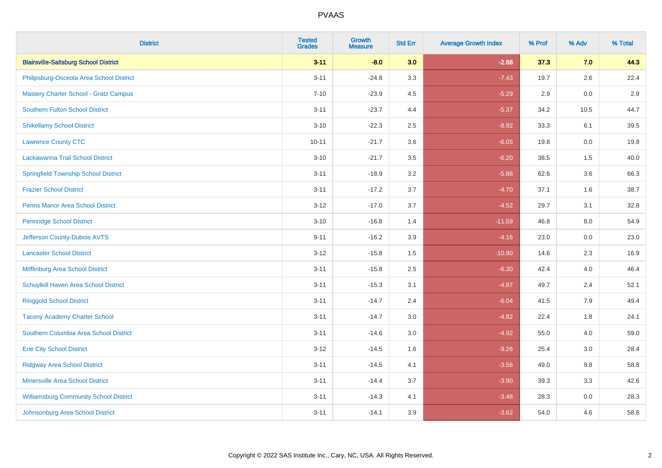| <b>District</b>                               | <b>Tested</b><br><b>Grades</b> | <b>Growth</b><br><b>Measure</b> | <b>Std Err</b> | <b>Average Growth Index</b> | % Prof | % Adv   | % Total |
|-----------------------------------------------|--------------------------------|---------------------------------|----------------|-----------------------------|--------|---------|---------|
| <b>Blairsville-Saltsburg School District</b>  | $3 - 11$                       | $-8.0$                          | 3.0            | $-2.68$                     | 37.3   | 7.0     | 44.3    |
| Philipsburg-Osceola Area School District      | $3 - 11$                       | $-24.8$                         | 3.3            | $-7.43$                     | 19.7   | $2.6\,$ | 22.4    |
| <b>Mastery Charter School - Gratz Campus</b>  | $7 - 10$                       | $-23.9$                         | 4.5            | $-5.29$                     | 2.9    | 0.0     | 2.9     |
| <b>Southern Fulton School District</b>        | $3 - 11$                       | $-23.7$                         | 4.4            | $-5.37$                     | 34.2   | 10.5    | 44.7    |
| <b>Shikellamy School District</b>             | $3 - 10$                       | $-22.3$                         | 2.5            | $-8.92$                     | 33.3   | 6.1     | 39.5    |
| <b>Lawrence County CTC</b>                    | $10 - 11$                      | $-21.7$                         | 3.6            | $-6.05$                     | 19.8   | 0.0     | 19.8    |
| Lackawanna Trail School District              | $3 - 10$                       | $-21.7$                         | 3.5            | $-6.20$                     | 38.5   | 1.5     | 40.0    |
| <b>Springfield Township School District</b>   | $3 - 11$                       | $-18.9$                         | 3.2            | $-5.88$                     | 62.6   | 3.6     | 66.3    |
| <b>Frazier School District</b>                | $3 - 11$                       | $-17.2$                         | 3.7            | $-4.70$                     | 37.1   | 1.6     | 38.7    |
| <b>Penns Manor Area School District</b>       | $3 - 12$                       | $-17.0$                         | 3.7            | $-4.52$                     | 29.7   | 3.1     | 32.8    |
| <b>Pennridge School District</b>              | $3 - 10$                       | $-16.8$                         | 1.4            | $-11.59$                    | 46.8   | 8.0     | 54.9    |
| Jefferson County-Dubois AVTS                  | $9 - 11$                       | $-16.2$                         | 3.9            | $-4.16$                     | 23.0   | 0.0     | 23.0    |
| <b>Lancaster School District</b>              | $3 - 12$                       | $-15.8$                         | 1.5            | $-10.90$                    | 14.6   | $2.3\,$ | 16.9    |
| Mifflinburg Area School District              | $3 - 11$                       | $-15.8$                         | 2.5            | $-6.30$                     | 42.4   | 4.0     | 46.4    |
| Schuylkill Haven Area School District         | $3 - 11$                       | $-15.3$                         | 3.1            | $-4.87$                     | 49.7   | 2.4     | 52.1    |
| <b>Ringgold School District</b>               | $3 - 11$                       | $-14.7$                         | 2.4            | $-6.04$                     | 41.5   | 7.9     | 49.4    |
| <b>Tacony Academy Charter School</b>          | $3 - 11$                       | $-14.7$                         | 3.0            | $-4.82$                     | 22.4   | 1.8     | 24.1    |
| Southern Columbia Area School District        | $3 - 11$                       | $-14.6$                         | 3.0            | $-4.92$                     | 55.0   | 4.0     | 59.0    |
| <b>Erie City School District</b>              | $3 - 12$                       | $-14.5$                         | 1.6            | $-9.26$                     | 25.4   | 3.0     | 28.4    |
| <b>Ridgway Area School District</b>           | $3 - 11$                       | $-14.5$                         | 4.1            | $-3.56$                     | 49.0   | 9.8     | 58.8    |
| <b>Minersville Area School District</b>       | $3 - 11$                       | $-14.4$                         | 3.7            | $-3.90$                     | 39.3   | 3.3     | 42.6    |
| <b>Williamsburg Community School District</b> | $3 - 11$                       | $-14.3$                         | 4.1            | $-3.48$                     | 28.3   | 0.0     | 28.3    |
| Johnsonburg Area School District              | $3 - 11$                       | $-14.1$                         | 3.9            | $-3.62$                     | 54.0   | 4.6     | 58.6    |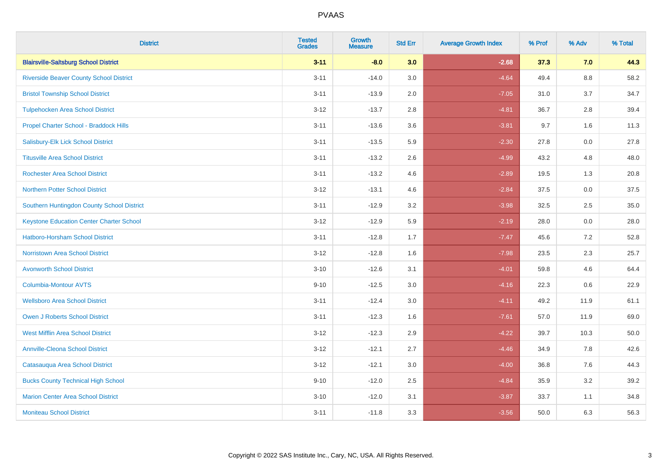| <b>District</b>                                 | <b>Tested</b><br><b>Grades</b> | <b>Growth</b><br><b>Measure</b> | <b>Std Err</b> | <b>Average Growth Index</b> | % Prof | % Adv   | % Total |
|-------------------------------------------------|--------------------------------|---------------------------------|----------------|-----------------------------|--------|---------|---------|
| <b>Blairsville-Saltsburg School District</b>    | $3 - 11$                       | $-8.0$                          | 3.0            | $-2.68$                     | 37.3   | 7.0     | 44.3    |
| <b>Riverside Beaver County School District</b>  | $3 - 11$                       | $-14.0$                         | 3.0            | $-4.64$                     | 49.4   | $8.8\,$ | 58.2    |
| <b>Bristol Township School District</b>         | $3 - 11$                       | $-13.9$                         | 2.0            | $-7.05$                     | 31.0   | 3.7     | 34.7    |
| <b>Tulpehocken Area School District</b>         | $3 - 12$                       | $-13.7$                         | 2.8            | $-4.81$                     | 36.7   | 2.8     | 39.4    |
| Propel Charter School - Braddock Hills          | $3 - 11$                       | $-13.6$                         | 3.6            | $-3.81$                     | 9.7    | 1.6     | 11.3    |
| Salisbury-Elk Lick School District              | $3 - 11$                       | $-13.5$                         | 5.9            | $-2.30$                     | 27.8   | 0.0     | 27.8    |
| <b>Titusville Area School District</b>          | $3 - 11$                       | $-13.2$                         | 2.6            | $-4.99$                     | 43.2   | 4.8     | 48.0    |
| <b>Rochester Area School District</b>           | $3 - 11$                       | $-13.2$                         | 4.6            | $-2.89$                     | 19.5   | 1.3     | 20.8    |
| <b>Northern Potter School District</b>          | $3 - 12$                       | $-13.1$                         | 4.6            | $-2.84$                     | 37.5   | 0.0     | 37.5    |
| Southern Huntingdon County School District      | $3 - 11$                       | $-12.9$                         | 3.2            | $-3.98$                     | 32.5   | $2.5\,$ | 35.0    |
| <b>Keystone Education Center Charter School</b> | $3 - 12$                       | $-12.9$                         | 5.9            | $-2.19$                     | 28.0   | 0.0     | 28.0    |
| <b>Hatboro-Horsham School District</b>          | $3 - 11$                       | $-12.8$                         | 1.7            | $-7.47$                     | 45.6   | 7.2     | 52.8    |
| <b>Norristown Area School District</b>          | $3 - 12$                       | $-12.8$                         | 1.6            | $-7.98$                     | 23.5   | 2.3     | 25.7    |
| <b>Avonworth School District</b>                | $3 - 10$                       | $-12.6$                         | 3.1            | $-4.01$                     | 59.8   | 4.6     | 64.4    |
| Columbia-Montour AVTS                           | $9 - 10$                       | $-12.5$                         | 3.0            | $-4.16$                     | 22.3   | 0.6     | 22.9    |
| <b>Wellsboro Area School District</b>           | $3 - 11$                       | $-12.4$                         | 3.0            | $-4.11$                     | 49.2   | 11.9    | 61.1    |
| <b>Owen J Roberts School District</b>           | $3 - 11$                       | $-12.3$                         | 1.6            | $-7.61$                     | 57.0   | 11.9    | 69.0    |
| <b>West Mifflin Area School District</b>        | $3 - 12$                       | $-12.3$                         | 2.9            | $-4.22$                     | 39.7   | 10.3    | 50.0    |
| <b>Annville-Cleona School District</b>          | $3 - 12$                       | $-12.1$                         | 2.7            | $-4.46$                     | 34.9   | 7.8     | 42.6    |
| Catasauqua Area School District                 | $3 - 12$                       | $-12.1$                         | 3.0            | $-4.00$                     | 36.8   | 7.6     | 44.3    |
| <b>Bucks County Technical High School</b>       | $9 - 10$                       | $-12.0$                         | 2.5            | $-4.84$                     | 35.9   | 3.2     | 39.2    |
| <b>Marion Center Area School District</b>       | $3 - 10$                       | $-12.0$                         | 3.1            | $-3.87$                     | 33.7   | 1.1     | 34.8    |
| <b>Moniteau School District</b>                 | $3 - 11$                       | $-11.8$                         | 3.3            | $-3.56$                     | 50.0   | 6.3     | 56.3    |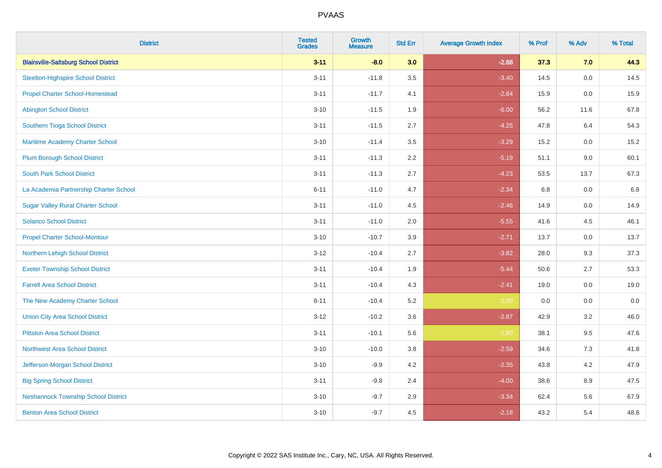| <b>District</b>                              | <b>Tested</b><br><b>Grades</b> | <b>Growth</b><br><b>Measure</b> | <b>Std Err</b> | <b>Average Growth Index</b> | % Prof | % Adv   | % Total |
|----------------------------------------------|--------------------------------|---------------------------------|----------------|-----------------------------|--------|---------|---------|
| <b>Blairsville-Saltsburg School District</b> | $3 - 11$                       | $-8.0$                          | 3.0            | $-2.68$                     | 37.3   | 7.0     | 44.3    |
| <b>Steelton-Highspire School District</b>    | $3 - 11$                       | $-11.8$                         | 3.5            | $-3.40$                     | 14.5   | 0.0     | 14.5    |
| <b>Propel Charter School-Homestead</b>       | $3 - 11$                       | $-11.7$                         | 4.1            | $-2.84$                     | 15.9   | 0.0     | 15.9    |
| <b>Abington School District</b>              | $3 - 10$                       | $-11.5$                         | 1.9            | $-6.00$                     | 56.2   | 11.6    | 67.8    |
| Southern Tioga School District               | $3 - 11$                       | $-11.5$                         | 2.7            | $-4.25$                     | 47.8   | 6.4     | 54.3    |
| Maritime Academy Charter School              | $3 - 10$                       | $-11.4$                         | 3.5            | $-3.29$                     | 15.2   | 0.0     | 15.2    |
| <b>Plum Borough School District</b>          | $3 - 11$                       | $-11.3$                         | 2.2            | $-5.19$                     | 51.1   | 9.0     | 60.1    |
| <b>South Park School District</b>            | $3 - 11$                       | $-11.3$                         | 2.7            | $-4.23$                     | 53.5   | 13.7    | 67.3    |
| La Academia Partnership Charter School       | $6 - 11$                       | $-11.0$                         | 4.7            | $-2.34$                     | 6.8    | 0.0     | 6.8     |
| <b>Sugar Valley Rural Charter School</b>     | $3 - 11$                       | $-11.0$                         | 4.5            | $-2.46$                     | 14.9   | 0.0     | 14.9    |
| <b>Solanco School District</b>               | $3 - 11$                       | $-11.0$                         | 2.0            | $-5.55$                     | 41.6   | 4.5     | 46.1    |
| <b>Propel Charter School-Montour</b>         | $3 - 10$                       | $-10.7$                         | 3.9            | $-2.71$                     | 13.7   | 0.0     | 13.7    |
| Northern Lehigh School District              | $3 - 12$                       | $-10.4$                         | 2.7            | $-3.82$                     | 28.0   | 9.3     | 37.3    |
| <b>Exeter Township School District</b>       | $3 - 11$                       | $-10.4$                         | 1.9            | $-5.44$                     | 50.6   | 2.7     | 53.3    |
| <b>Farrell Area School District</b>          | $3 - 11$                       | $-10.4$                         | 4.3            | $-2.41$                     | 19.0   | 0.0     | 19.0    |
| The New Academy Charter School               | $8 - 11$                       | $-10.4$                         | 5.2            | $-2.00$                     | 0.0    | $0.0\,$ | $0.0\,$ |
| <b>Union City Area School District</b>       | $3 - 12$                       | $-10.2$                         | 3.6            | $-2.87$                     | 42.9   | 3.2     | 46.0    |
| <b>Pittston Area School District</b>         | $3 - 11$                       | $-10.1$                         | 5.6            | $-1.80$                     | 38.1   | 9.5     | 47.6    |
| <b>Northwest Area School District</b>        | $3 - 10$                       | $-10.0$                         | 3.8            | $-2.59$                     | 34.6   | $7.3$   | 41.8    |
| Jefferson-Morgan School District             | $3 - 10$                       | $-9.9$                          | 4.2            | $-2.35$                     | 43.8   | 4.2     | 47.9    |
| <b>Big Spring School District</b>            | $3 - 11$                       | $-9.8$                          | 2.4            | $-4.00$                     | 38.6   | 8.9     | 47.5    |
| <b>Neshannock Township School District</b>   | $3 - 10$                       | $-9.7$                          | 2.9            | $-3.34$                     | 62.4   | 5.6     | 67.9    |
| <b>Benton Area School District</b>           | $3 - 10$                       | $-9.7$                          | 4.5            | $-2.18$                     | 43.2   | 5.4     | 48.6    |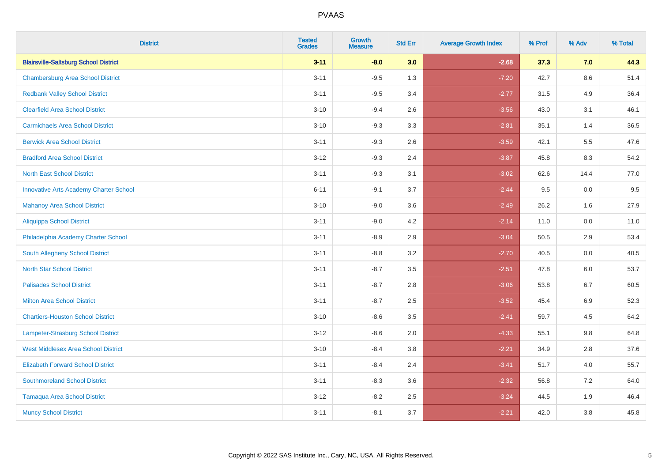| <b>District</b>                               | <b>Tested</b><br><b>Grades</b> | <b>Growth</b><br><b>Measure</b> | <b>Std Err</b> | <b>Average Growth Index</b> | % Prof | % Adv   | % Total |
|-----------------------------------------------|--------------------------------|---------------------------------|----------------|-----------------------------|--------|---------|---------|
| <b>Blairsville-Saltsburg School District</b>  | $3 - 11$                       | $-8.0$                          | 3.0            | $-2.68$                     | 37.3   | 7.0     | 44.3    |
| <b>Chambersburg Area School District</b>      | $3 - 11$                       | $-9.5$                          | 1.3            | $-7.20$                     | 42.7   | $8.6\,$ | 51.4    |
| <b>Redbank Valley School District</b>         | $3 - 11$                       | $-9.5$                          | 3.4            | $-2.77$                     | 31.5   | 4.9     | 36.4    |
| <b>Clearfield Area School District</b>        | $3 - 10$                       | $-9.4$                          | 2.6            | $-3.56$                     | 43.0   | 3.1     | 46.1    |
| <b>Carmichaels Area School District</b>       | $3 - 10$                       | $-9.3$                          | 3.3            | $-2.81$                     | 35.1   | 1.4     | 36.5    |
| <b>Berwick Area School District</b>           | $3 - 11$                       | $-9.3$                          | 2.6            | $-3.59$                     | 42.1   | 5.5     | 47.6    |
| <b>Bradford Area School District</b>          | $3 - 12$                       | $-9.3$                          | 2.4            | $-3.87$                     | 45.8   | 8.3     | 54.2    |
| <b>North East School District</b>             | $3 - 11$                       | $-9.3$                          | 3.1            | $-3.02$                     | 62.6   | 14.4    | 77.0    |
| <b>Innovative Arts Academy Charter School</b> | $6 - 11$                       | $-9.1$                          | 3.7            | $-2.44$                     | 9.5    | 0.0     | 9.5     |
| <b>Mahanoy Area School District</b>           | $3 - 10$                       | $-9.0$                          | 3.6            | $-2.49$                     | 26.2   | 1.6     | 27.9    |
| Aliquippa School District                     | $3 - 11$                       | $-9.0$                          | 4.2            | $-2.14$                     | 11.0   | 0.0     | 11.0    |
| Philadelphia Academy Charter School           | $3 - 11$                       | $-8.9$                          | 2.9            | $-3.04$                     | 50.5   | 2.9     | 53.4    |
| South Allegheny School District               | $3 - 11$                       | $-8.8$                          | 3.2            | $-2.70$                     | 40.5   | $0.0\,$ | 40.5    |
| <b>North Star School District</b>             | $3 - 11$                       | $-8.7$                          | 3.5            | $-2.51$                     | 47.8   | 6.0     | 53.7    |
| <b>Palisades School District</b>              | $3 - 11$                       | $-8.7$                          | 2.8            | $-3.06$                     | 53.8   | 6.7     | 60.5    |
| <b>Milton Area School District</b>            | $3 - 11$                       | $-8.7$                          | 2.5            | $-3.52$                     | 45.4   | $6.9\,$ | 52.3    |
| <b>Chartiers-Houston School District</b>      | $3 - 10$                       | $-8.6$                          | 3.5            | $-2.41$                     | 59.7   | 4.5     | 64.2    |
| <b>Lampeter-Strasburg School District</b>     | $3 - 12$                       | $-8.6$                          | 2.0            | $-4.33$                     | 55.1   | 9.8     | 64.8    |
| <b>West Middlesex Area School District</b>    | $3 - 10$                       | $-8.4$                          | 3.8            | $-2.21$                     | 34.9   | 2.8     | 37.6    |
| <b>Elizabeth Forward School District</b>      | $3 - 11$                       | $-8.4$                          | 2.4            | $-3.41$                     | 51.7   | 4.0     | 55.7    |
| <b>Southmoreland School District</b>          | $3 - 11$                       | $-8.3$                          | 3.6            | $-2.32$                     | 56.8   | 7.2     | 64.0    |
| <b>Tamaqua Area School District</b>           | $3 - 12$                       | $-8.2$                          | 2.5            | $-3.24$                     | 44.5   | 1.9     | 46.4    |
| <b>Muncy School District</b>                  | $3 - 11$                       | $-8.1$                          | 3.7            | $-2.21$                     | 42.0   | 3.8     | 45.8    |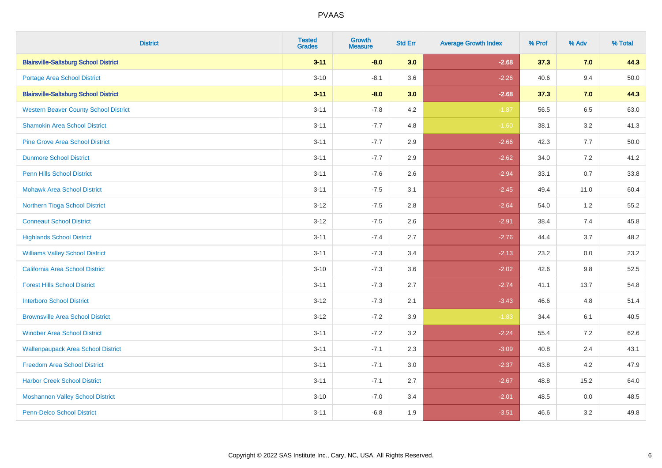| <b>District</b>                              | <b>Tested</b><br><b>Grades</b> | <b>Growth</b><br><b>Measure</b> | <b>Std Err</b> | <b>Average Growth Index</b> | % Prof | % Adv   | % Total |
|----------------------------------------------|--------------------------------|---------------------------------|----------------|-----------------------------|--------|---------|---------|
| <b>Blairsville-Saltsburg School District</b> | $3 - 11$                       | $-8.0$                          | 3.0            | $-2.68$                     | 37.3   | 7.0     | 44.3    |
| <b>Portage Area School District</b>          | $3 - 10$                       | $-8.1$                          | 3.6            | $-2.26$                     | 40.6   | 9.4     | 50.0    |
| <b>Blairsville-Saltsburg School District</b> | $3 - 11$                       | $-8.0$                          | 3.0            | $-2.68$                     | 37.3   | 7.0     | 44.3    |
| <b>Western Beaver County School District</b> | $3 - 11$                       | $-7.8$                          | 4.2            | $-1.87$                     | 56.5   | 6.5     | 63.0    |
| <b>Shamokin Area School District</b>         | $3 - 11$                       | $-7.7$                          | 4.8            | $-1.60$                     | 38.1   | 3.2     | 41.3    |
| <b>Pine Grove Area School District</b>       | $3 - 11$                       | $-7.7$                          | 2.9            | $-2.66$                     | 42.3   | 7.7     | 50.0    |
| <b>Dunmore School District</b>               | $3 - 11$                       | $-7.7$                          | 2.9            | $-2.62$                     | 34.0   | 7.2     | 41.2    |
| <b>Penn Hills School District</b>            | $3 - 11$                       | $-7.6$                          | 2.6            | $-2.94$                     | 33.1   | 0.7     | 33.8    |
| <b>Mohawk Area School District</b>           | $3 - 11$                       | $-7.5$                          | 3.1            | $-2.45$                     | 49.4   | 11.0    | 60.4    |
| Northern Tioga School District               | $3 - 12$                       | $-7.5$                          | 2.8            | $-2.64$                     | 54.0   | $1.2\,$ | 55.2    |
| <b>Conneaut School District</b>              | $3 - 12$                       | $-7.5$                          | 2.6            | $-2.91$                     | 38.4   | 7.4     | 45.8    |
| <b>Highlands School District</b>             | $3 - 11$                       | $-7.4$                          | 2.7            | $-2.76$                     | 44.4   | 3.7     | 48.2    |
| <b>Williams Valley School District</b>       | $3 - 11$                       | $-7.3$                          | 3.4            | $-2.13$                     | 23.2   | $0.0\,$ | 23.2    |
| California Area School District              | $3 - 10$                       | $-7.3$                          | 3.6            | $-2.02$                     | 42.6   | 9.8     | 52.5    |
| <b>Forest Hills School District</b>          | $3 - 11$                       | $-7.3$                          | 2.7            | $-2.74$                     | 41.1   | 13.7    | 54.8    |
| <b>Interboro School District</b>             | $3 - 12$                       | $-7.3$                          | 2.1            | $-3.43$                     | 46.6   | 4.8     | 51.4    |
| <b>Brownsville Area School District</b>      | $3 - 12$                       | $-7.2$                          | 3.9            | $-1.83$                     | 34.4   | 6.1     | 40.5    |
| <b>Windber Area School District</b>          | $3 - 11$                       | $-7.2$                          | 3.2            | $-2.24$                     | 55.4   | 7.2     | 62.6    |
| <b>Wallenpaupack Area School District</b>    | $3 - 11$                       | $-7.1$                          | 2.3            | $-3.09$                     | 40.8   | 2.4     | 43.1    |
| <b>Freedom Area School District</b>          | $3 - 11$                       | $-7.1$                          | 3.0            | $-2.37$                     | 43.8   | 4.2     | 47.9    |
| <b>Harbor Creek School District</b>          | $3 - 11$                       | $-7.1$                          | 2.7            | $-2.67$                     | 48.8   | 15.2    | 64.0    |
| <b>Moshannon Valley School District</b>      | $3 - 10$                       | $-7.0$                          | 3.4            | $-2.01$                     | 48.5   | 0.0     | 48.5    |
| Penn-Delco School District                   | $3 - 11$                       | $-6.8$                          | 1.9            | $-3.51$                     | 46.6   | 3.2     | 49.8    |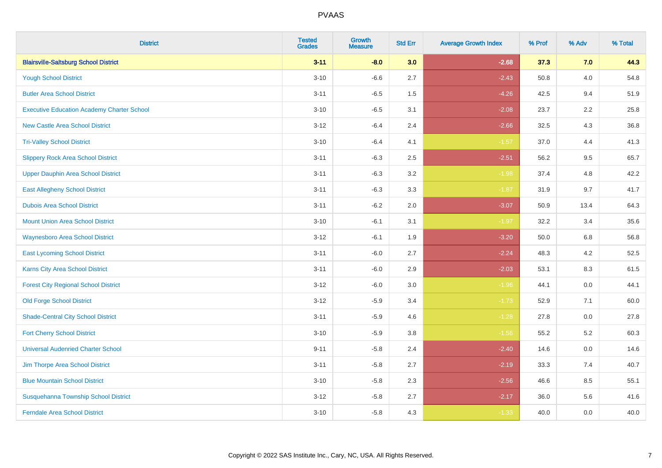| <b>District</b>                                   | <b>Tested</b><br><b>Grades</b> | Growth<br><b>Measure</b> | <b>Std Err</b> | <b>Average Growth Index</b> | % Prof | % Adv   | % Total |
|---------------------------------------------------|--------------------------------|--------------------------|----------------|-----------------------------|--------|---------|---------|
| <b>Blairsville-Saltsburg School District</b>      | $3 - 11$                       | $-8.0$                   | 3.0            | $-2.68$                     | 37.3   | 7.0     | 44.3    |
| <b>Yough School District</b>                      | $3 - 10$                       | $-6.6$                   | 2.7            | $-2.43$                     | 50.8   | 4.0     | 54.8    |
| <b>Butler Area School District</b>                | $3 - 11$                       | $-6.5$                   | 1.5            | $-4.26$                     | 42.5   | 9.4     | 51.9    |
| <b>Executive Education Academy Charter School</b> | $3 - 10$                       | $-6.5$                   | 3.1            | $-2.08$                     | 23.7   | $2.2\,$ | 25.8    |
| <b>New Castle Area School District</b>            | $3 - 12$                       | $-6.4$                   | 2.4            | $-2.66$                     | 32.5   | 4.3     | 36.8    |
| <b>Tri-Valley School District</b>                 | $3 - 10$                       | $-6.4$                   | 4.1            | $-1.57$                     | 37.0   | 4.4     | 41.3    |
| <b>Slippery Rock Area School District</b>         | $3 - 11$                       | $-6.3$                   | 2.5            | $-2.51$                     | 56.2   | 9.5     | 65.7    |
| <b>Upper Dauphin Area School District</b>         | $3 - 11$                       | $-6.3$                   | 3.2            | $-1.98$                     | 37.4   | 4.8     | 42.2    |
| <b>East Allegheny School District</b>             | $3 - 11$                       | $-6.3$                   | 3.3            | $-1.87$                     | 31.9   | 9.7     | 41.7    |
| <b>Dubois Area School District</b>                | $3 - 11$                       | $-6.2$                   | 2.0            | $-3.07$                     | 50.9   | 13.4    | 64.3    |
| <b>Mount Union Area School District</b>           | $3 - 10$                       | $-6.1$                   | 3.1            | $-1.97$                     | 32.2   | 3.4     | 35.6    |
| <b>Waynesboro Area School District</b>            | $3 - 12$                       | $-6.1$                   | 1.9            | $-3.20$                     | 50.0   | 6.8     | 56.8    |
| <b>East Lycoming School District</b>              | $3 - 11$                       | $-6.0$                   | 2.7            | $-2.24$                     | 48.3   | 4.2     | 52.5    |
| <b>Karns City Area School District</b>            | $3 - 11$                       | $-6.0$                   | 2.9            | $-2.03$                     | 53.1   | 8.3     | 61.5    |
| <b>Forest City Regional School District</b>       | $3 - 12$                       | $-6.0$                   | 3.0            | $-1.96$                     | 44.1   | 0.0     | 44.1    |
| <b>Old Forge School District</b>                  | $3 - 12$                       | $-5.9$                   | 3.4            | $-1.73$                     | 52.9   | 7.1     | 60.0    |
| <b>Shade-Central City School District</b>         | $3 - 11$                       | $-5.9$                   | 4.6            | $-1.28$                     | 27.8   | 0.0     | 27.8    |
| <b>Fort Cherry School District</b>                | $3 - 10$                       | $-5.9$                   | 3.8            | $-1.56$                     | 55.2   | 5.2     | 60.3    |
| <b>Universal Audenried Charter School</b>         | $9 - 11$                       | $-5.8$                   | 2.4            | $-2.40$                     | 14.6   | 0.0     | 14.6    |
| Jim Thorpe Area School District                   | $3 - 11$                       | $-5.8$                   | 2.7            | $-2.19$                     | 33.3   | 7.4     | 40.7    |
| <b>Blue Mountain School District</b>              | $3 - 10$                       | $-5.8$                   | 2.3            | $-2.56$                     | 46.6   | 8.5     | 55.1    |
| Susquehanna Township School District              | $3 - 12$                       | $-5.8$                   | 2.7            | $-2.17$                     | 36.0   | 5.6     | 41.6    |
| <b>Ferndale Area School District</b>              | $3 - 10$                       | $-5.8$                   | 4.3            | $-1.33$                     | 40.0   | 0.0     | 40.0    |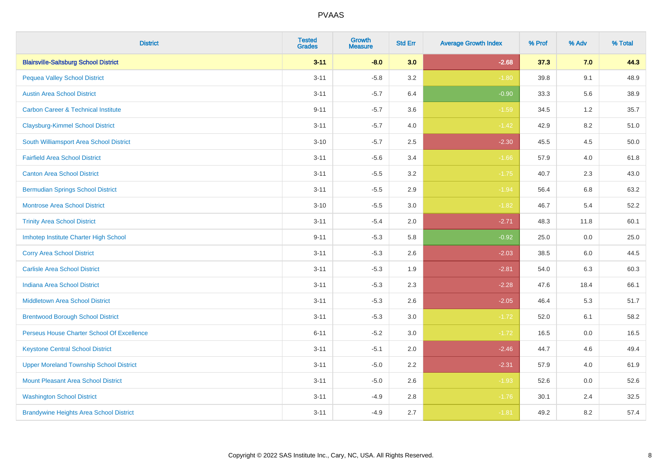| <b>District</b>                                | <b>Tested</b><br><b>Grades</b> | <b>Growth</b><br><b>Measure</b> | <b>Std Err</b> | <b>Average Growth Index</b> | % Prof | % Adv | % Total |
|------------------------------------------------|--------------------------------|---------------------------------|----------------|-----------------------------|--------|-------|---------|
| <b>Blairsville-Saltsburg School District</b>   | $3 - 11$                       | $-8.0$                          | 3.0            | $-2.68$                     | 37.3   | 7.0   | 44.3    |
| <b>Pequea Valley School District</b>           | $3 - 11$                       | $-5.8$                          | 3.2            | $-1.80$                     | 39.8   | 9.1   | 48.9    |
| <b>Austin Area School District</b>             | $3 - 11$                       | $-5.7$                          | 6.4            | $-0.90$                     | 33.3   | 5.6   | 38.9    |
| <b>Carbon Career &amp; Technical Institute</b> | $9 - 11$                       | $-5.7$                          | 3.6            | $-1.59$                     | 34.5   | 1.2   | 35.7    |
| <b>Claysburg-Kimmel School District</b>        | $3 - 11$                       | $-5.7$                          | 4.0            | $-1.42$                     | 42.9   | 8.2   | 51.0    |
| South Williamsport Area School District        | $3 - 10$                       | $-5.7$                          | 2.5            | $-2.30$                     | 45.5   | 4.5   | 50.0    |
| <b>Fairfield Area School District</b>          | $3 - 11$                       | $-5.6$                          | 3.4            | $-1.66$                     | 57.9   | 4.0   | 61.8    |
| <b>Canton Area School District</b>             | $3 - 11$                       | $-5.5$                          | 3.2            | $-1.75$                     | 40.7   | 2.3   | 43.0    |
| <b>Bermudian Springs School District</b>       | $3 - 11$                       | $-5.5$                          | 2.9            | $-1.94$                     | 56.4   | 6.8   | 63.2    |
| <b>Montrose Area School District</b>           | $3 - 10$                       | $-5.5$                          | 3.0            | $-1.82$                     | 46.7   | 5.4   | 52.2    |
| <b>Trinity Area School District</b>            | $3 - 11$                       | $-5.4$                          | 2.0            | $-2.71$                     | 48.3   | 11.8  | 60.1    |
| Imhotep Institute Charter High School          | $9 - 11$                       | $-5.3$                          | 5.8            | $-0.92$                     | 25.0   | 0.0   | 25.0    |
| <b>Corry Area School District</b>              | $3 - 11$                       | $-5.3$                          | 2.6            | $-2.03$                     | 38.5   | 6.0   | 44.5    |
| <b>Carlisle Area School District</b>           | $3 - 11$                       | $-5.3$                          | 1.9            | $-2.81$                     | 54.0   | 6.3   | 60.3    |
| <b>Indiana Area School District</b>            | $3 - 11$                       | $-5.3$                          | 2.3            | $-2.28$                     | 47.6   | 18.4  | 66.1    |
| <b>Middletown Area School District</b>         | $3 - 11$                       | $-5.3$                          | 2.6            | $-2.05$                     | 46.4   | 5.3   | 51.7    |
| <b>Brentwood Borough School District</b>       | $3 - 11$                       | $-5.3$                          | 3.0            | $-1.72$                     | 52.0   | 6.1   | 58.2    |
| Perseus House Charter School Of Excellence     | $6 - 11$                       | $-5.2$                          | 3.0            | $-1.72$                     | 16.5   | 0.0   | 16.5    |
| <b>Keystone Central School District</b>        | $3 - 11$                       | $-5.1$                          | 2.0            | $-2.46$                     | 44.7   | 4.6   | 49.4    |
| <b>Upper Moreland Township School District</b> | $3 - 11$                       | $-5.0$                          | 2.2            | $-2.31$                     | 57.9   | 4.0   | 61.9    |
| <b>Mount Pleasant Area School District</b>     | $3 - 11$                       | $-5.0$                          | 2.6            | $-1.93$                     | 52.6   | 0.0   | 52.6    |
| <b>Washington School District</b>              | $3 - 11$                       | $-4.9$                          | 2.8            | $-1.76$                     | 30.1   | 2.4   | 32.5    |
| <b>Brandywine Heights Area School District</b> | $3 - 11$                       | $-4.9$                          | 2.7            | $-1.81$                     | 49.2   | 8.2   | 57.4    |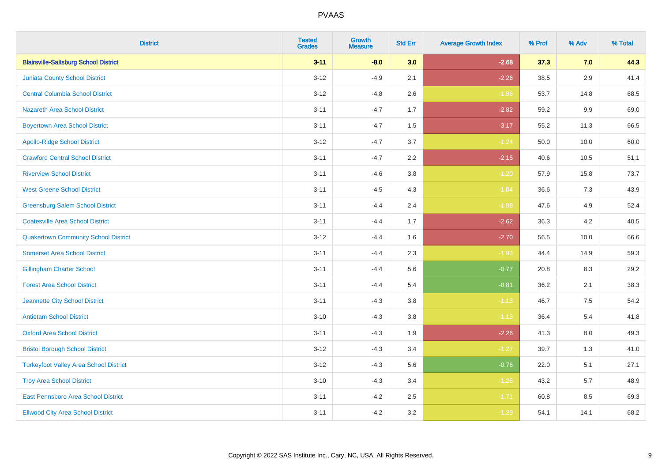| <b>District</b>                               | <b>Tested</b><br><b>Grades</b> | <b>Growth</b><br><b>Measure</b> | <b>Std Err</b> | <b>Average Growth Index</b> | % Prof | % Adv   | % Total |
|-----------------------------------------------|--------------------------------|---------------------------------|----------------|-----------------------------|--------|---------|---------|
| <b>Blairsville-Saltsburg School District</b>  | $3 - 11$                       | $-8.0$                          | 3.0            | $-2.68$                     | 37.3   | 7.0     | 44.3    |
| Juniata County School District                | $3 - 12$                       | $-4.9$                          | 2.1            | $-2.26$                     | 38.5   | $2.9\,$ | 41.4    |
| <b>Central Columbia School District</b>       | $3 - 12$                       | $-4.8$                          | 2.6            | $-1.86$                     | 53.7   | 14.8    | 68.5    |
| <b>Nazareth Area School District</b>          | $3 - 11$                       | $-4.7$                          | 1.7            | $-2.82$                     | 59.2   | $9.9\,$ | 69.0    |
| <b>Boyertown Area School District</b>         | $3 - 11$                       | $-4.7$                          | 1.5            | $-3.17$                     | 55.2   | 11.3    | 66.5    |
| <b>Apollo-Ridge School District</b>           | $3 - 12$                       | $-4.7$                          | 3.7            | $-1.24$                     | 50.0   | 10.0    | 60.0    |
| <b>Crawford Central School District</b>       | $3 - 11$                       | $-4.7$                          | 2.2            | $-2.15$                     | 40.6   | 10.5    | 51.1    |
| <b>Riverview School District</b>              | $3 - 11$                       | $-4.6$                          | 3.8            | $-1.20$                     | 57.9   | 15.8    | 73.7    |
| <b>West Greene School District</b>            | $3 - 11$                       | $-4.5$                          | 4.3            | $-1.04$                     | 36.6   | 7.3     | 43.9    |
| <b>Greensburg Salem School District</b>       | $3 - 11$                       | $-4.4$                          | 2.4            | $-1.88$                     | 47.6   | 4.9     | 52.4    |
| <b>Coatesville Area School District</b>       | $3 - 11$                       | $-4.4$                          | 1.7            | $-2.62$                     | 36.3   | 4.2     | 40.5    |
| <b>Quakertown Community School District</b>   | $3 - 12$                       | $-4.4$                          | 1.6            | $-2.70$                     | 56.5   | 10.0    | 66.6    |
| <b>Somerset Area School District</b>          | $3 - 11$                       | $-4.4$                          | 2.3            | $-1.93$                     | 44.4   | 14.9    | 59.3    |
| <b>Gillingham Charter School</b>              | $3 - 11$                       | $-4.4$                          | 5.6            | $-0.77$                     | 20.8   | 8.3     | 29.2    |
| <b>Forest Area School District</b>            | $3 - 11$                       | $-4.4$                          | 5.4            | $-0.81$                     | 36.2   | 2.1     | 38.3    |
| Jeannette City School District                | $3 - 11$                       | $-4.3$                          | 3.8            | $-1.13$                     | 46.7   | $7.5\,$ | 54.2    |
| <b>Antietam School District</b>               | $3 - 10$                       | $-4.3$                          | 3.8            | $-1.13$                     | 36.4   | $5.4$   | 41.8    |
| <b>Oxford Area School District</b>            | $3 - 11$                       | $-4.3$                          | 1.9            | $-2.26$                     | 41.3   | 8.0     | 49.3    |
| <b>Bristol Borough School District</b>        | $3 - 12$                       | $-4.3$                          | 3.4            | $-1.27$                     | 39.7   | 1.3     | 41.0    |
| <b>Turkeyfoot Valley Area School District</b> | $3 - 12$                       | $-4.3$                          | 5.6            | $-0.76$                     | 22.0   | 5.1     | 27.1    |
| <b>Troy Area School District</b>              | $3 - 10$                       | $-4.3$                          | 3.4            | $-1.26$                     | 43.2   | 5.7     | 48.9    |
| East Pennsboro Area School District           | $3 - 11$                       | $-4.2$                          | 2.5            | $-1.71$                     | 60.8   | 8.5     | 69.3    |
| <b>Ellwood City Area School District</b>      | $3 - 11$                       | $-4.2$                          | 3.2            | $-1.29$                     | 54.1   | 14.1    | 68.2    |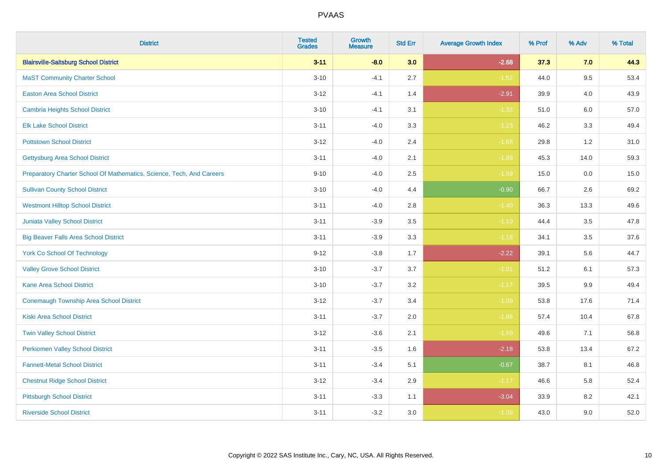| <b>District</b>                                                       | <b>Tested</b><br><b>Grades</b> | <b>Growth</b><br><b>Measure</b> | <b>Std Err</b> | <b>Average Growth Index</b> | % Prof | % Adv   | % Total |
|-----------------------------------------------------------------------|--------------------------------|---------------------------------|----------------|-----------------------------|--------|---------|---------|
| <b>Blairsville-Saltsburg School District</b>                          | $3 - 11$                       | $-8.0$                          | 3.0            | $-2.68$                     | 37.3   | 7.0     | 44.3    |
| <b>MaST Community Charter School</b>                                  | $3 - 10$                       | $-4.1$                          | 2.7            | $-1.52$                     | 44.0   | $9.5\,$ | 53.4    |
| <b>Easton Area School District</b>                                    | $3 - 12$                       | $-4.1$                          | 1.4            | $-2.91$                     | 39.9   | 4.0     | 43.9    |
| <b>Cambria Heights School District</b>                                | $3 - 10$                       | $-4.1$                          | 3.1            | $-1.32$                     | 51.0   | 6.0     | 57.0    |
| <b>Elk Lake School District</b>                                       | $3 - 11$                       | $-4.0$                          | 3.3            | $-1.23$                     | 46.2   | 3.3     | 49.4    |
| <b>Pottstown School District</b>                                      | $3 - 12$                       | $-4.0$                          | 2.4            | $-1.68$                     | 29.8   | 1.2     | 31.0    |
| <b>Gettysburg Area School District</b>                                | $3 - 11$                       | $-4.0$                          | 2.1            | $-1.89$                     | 45.3   | 14.0    | 59.3    |
| Preparatory Charter School Of Mathematics, Science, Tech, And Careers | $9 - 10$                       | $-4.0$                          | 2.5            | $-1.59$                     | 15.0   | 0.0     | 15.0    |
| <b>Sullivan County School District</b>                                | $3 - 10$                       | $-4.0$                          | 4.4            | $-0.90$                     | 66.7   | 2.6     | 69.2    |
| <b>Westmont Hilltop School District</b>                               | $3 - 11$                       | $-4.0$                          | 2.8            | $-1.40$                     | 36.3   | 13.3    | 49.6    |
| Juniata Valley School District                                        | $3 - 11$                       | $-3.9$                          | 3.5            | $-1.10$                     | 44.4   | 3.5     | 47.8    |
| <b>Big Beaver Falls Area School District</b>                          | $3 - 11$                       | $-3.9$                          | 3.3            | $-1.18$                     | 34.1   | 3.5     | 37.6    |
| <b>York Co School Of Technology</b>                                   | $9 - 12$                       | $-3.8$                          | 1.7            | $-2.22$                     | 39.1   | 5.6     | 44.7    |
| <b>Valley Grove School District</b>                                   | $3 - 10$                       | $-3.7$                          | 3.7            | $-1.01$                     | 51.2   | 6.1     | 57.3    |
| <b>Kane Area School District</b>                                      | $3 - 10$                       | $-3.7$                          | 3.2            | $-1.17$                     | 39.5   | $9.9\,$ | 49.4    |
| <b>Conemaugh Township Area School District</b>                        | $3 - 12$                       | $-3.7$                          | 3.4            | $-1.09$                     | 53.8   | 17.6    | 71.4    |
| <b>Kiski Area School District</b>                                     | $3 - 11$                       | $-3.7$                          | 2.0            | $-1.86$                     | 57.4   | 10.4    | 67.8    |
| <b>Twin Valley School District</b>                                    | $3 - 12$                       | $-3.6$                          | 2.1            | $-1.69$                     | 49.6   | 7.1     | 56.8    |
| <b>Perkiomen Valley School District</b>                               | $3 - 11$                       | $-3.5$                          | 1.6            | $-2.18$                     | 53.8   | 13.4    | 67.2    |
| <b>Fannett-Metal School District</b>                                  | $3 - 11$                       | $-3.4$                          | 5.1            | $-0.67$                     | 38.7   | 8.1     | 46.8    |
| <b>Chestnut Ridge School District</b>                                 | $3 - 12$                       | $-3.4$                          | 2.9            | $-1.17$                     | 46.6   | 5.8     | 52.4    |
| <b>Pittsburgh School District</b>                                     | $3 - 11$                       | $-3.3$                          | 1.1            | $-3.04$                     | 33.9   | 8.2     | 42.1    |
| <b>Riverside School District</b>                                      | $3 - 11$                       | $-3.2$                          | 3.0            | $-1.09$                     | 43.0   | 9.0     | 52.0    |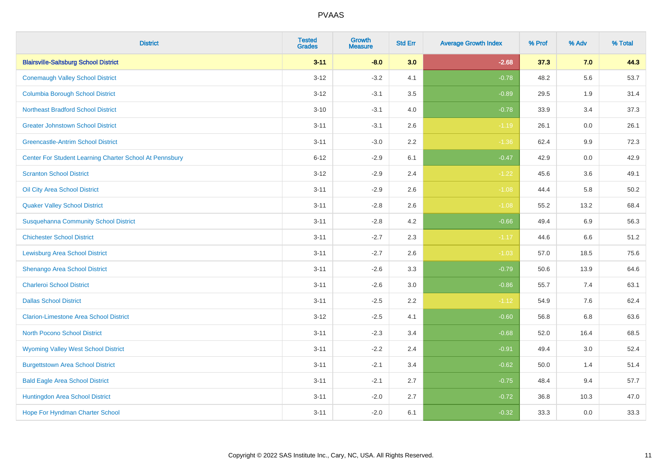| <b>District</b>                                         | <b>Tested</b><br><b>Grades</b> | <b>Growth</b><br><b>Measure</b> | <b>Std Err</b> | <b>Average Growth Index</b> | % Prof | % Adv   | % Total |
|---------------------------------------------------------|--------------------------------|---------------------------------|----------------|-----------------------------|--------|---------|---------|
| <b>Blairsville-Saltsburg School District</b>            | $3 - 11$                       | $-8.0$                          | 3.0            | $-2.68$                     | 37.3   | 7.0     | 44.3    |
| <b>Conemaugh Valley School District</b>                 | $3 - 12$                       | $-3.2$                          | 4.1            | $-0.78$                     | 48.2   | 5.6     | 53.7    |
| <b>Columbia Borough School District</b>                 | $3 - 12$                       | $-3.1$                          | 3.5            | $-0.89$                     | 29.5   | 1.9     | 31.4    |
| <b>Northeast Bradford School District</b>               | $3 - 10$                       | $-3.1$                          | 4.0            | $-0.78$                     | 33.9   | 3.4     | 37.3    |
| <b>Greater Johnstown School District</b>                | $3 - 11$                       | $-3.1$                          | 2.6            | $-1.19$                     | 26.1   | 0.0     | 26.1    |
| <b>Greencastle-Antrim School District</b>               | $3 - 11$                       | $-3.0$                          | 2.2            | $-1.36$                     | 62.4   | $9.9\,$ | 72.3    |
| Center For Student Learning Charter School At Pennsbury | $6 - 12$                       | $-2.9$                          | 6.1            | $-0.47$                     | 42.9   | 0.0     | 42.9    |
| <b>Scranton School District</b>                         | $3 - 12$                       | $-2.9$                          | 2.4            | $-1.22$                     | 45.6   | 3.6     | 49.1    |
| Oil City Area School District                           | $3 - 11$                       | $-2.9$                          | 2.6            | $-1.08$                     | 44.4   | 5.8     | 50.2    |
| <b>Quaker Valley School District</b>                    | $3 - 11$                       | $-2.8$                          | 2.6            | $-1.08$                     | 55.2   | 13.2    | 68.4    |
| <b>Susquehanna Community School District</b>            | $3 - 11$                       | $-2.8$                          | 4.2            | $-0.66$                     | 49.4   | 6.9     | 56.3    |
| <b>Chichester School District</b>                       | $3 - 11$                       | $-2.7$                          | 2.3            | $-1.17$                     | 44.6   | 6.6     | 51.2    |
| <b>Lewisburg Area School District</b>                   | $3 - 11$                       | $-2.7$                          | 2.6            | $-1.03$                     | 57.0   | 18.5    | 75.6    |
| Shenango Area School District                           | $3 - 11$                       | $-2.6$                          | 3.3            | $-0.79$                     | 50.6   | 13.9    | 64.6    |
| <b>Charleroi School District</b>                        | $3 - 11$                       | $-2.6$                          | 3.0            | $-0.86$                     | 55.7   | 7.4     | 63.1    |
| <b>Dallas School District</b>                           | $3 - 11$                       | $-2.5$                          | 2.2            | $-1.12$                     | 54.9   | $7.6\,$ | 62.4    |
| <b>Clarion-Limestone Area School District</b>           | $3 - 12$                       | $-2.5$                          | 4.1            | $-0.60$                     | 56.8   | 6.8     | 63.6    |
| <b>North Pocono School District</b>                     | $3 - 11$                       | $-2.3$                          | 3.4            | $-0.68$                     | 52.0   | 16.4    | 68.5    |
| <b>Wyoming Valley West School District</b>              | $3 - 11$                       | $-2.2$                          | 2.4            | $-0.91$                     | 49.4   | 3.0     | 52.4    |
| <b>Burgettstown Area School District</b>                | $3 - 11$                       | $-2.1$                          | 3.4            | $-0.62$                     | 50.0   | 1.4     | 51.4    |
| <b>Bald Eagle Area School District</b>                  | $3 - 11$                       | $-2.1$                          | 2.7            | $-0.75$                     | 48.4   | 9.4     | 57.7    |
| Huntingdon Area School District                         | $3 - 11$                       | $-2.0$                          | 2.7            | $-0.72$                     | 36.8   | 10.3    | 47.0    |
| Hope For Hyndman Charter School                         | $3 - 11$                       | $-2.0$                          | 6.1            | $-0.32$                     | 33.3   | 0.0     | 33.3    |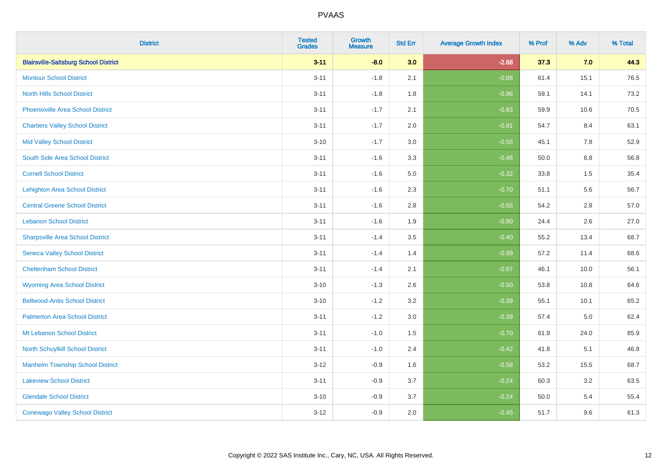| <b>District</b>                              | <b>Tested</b><br><b>Grades</b> | <b>Growth</b><br><b>Measure</b> | <b>Std Err</b> | <b>Average Growth Index</b> | % Prof | % Adv | % Total |
|----------------------------------------------|--------------------------------|---------------------------------|----------------|-----------------------------|--------|-------|---------|
| <b>Blairsville-Saltsburg School District</b> | $3 - 11$                       | $-8.0$                          | 3.0            | $-2.68$                     | 37.3   | 7.0   | 44.3    |
| <b>Montour School District</b>               | $3 - 11$                       | $-1.8$                          | 2.1            | $-0.88$                     | 61.4   | 15.1  | 76.5    |
| <b>North Hills School District</b>           | $3 - 11$                       | $-1.8$                          | 1.8            | $-0.96$                     | 59.1   | 14.1  | 73.2    |
| <b>Phoenixville Area School District</b>     | $3 - 11$                       | $-1.7$                          | 2.1            | $-0.83$                     | 59.9   | 10.6  | 70.5    |
| <b>Chartiers Valley School District</b>      | $3 - 11$                       | $-1.7$                          | 2.0            | $-0.81$                     | 54.7   | 8.4   | 63.1    |
| <b>Mid Valley School District</b>            | $3 - 10$                       | $-1.7$                          | 3.0            | $-0.55$                     | 45.1   | 7.8   | 52.9    |
| South Side Area School District              | $3 - 11$                       | $-1.6$                          | 3.3            | $-0.48$                     | 50.0   | 6.8   | 56.8    |
| <b>Cornell School District</b>               | $3 - 11$                       | $-1.6$                          | 5.0            | $-0.32$                     | 33.8   | 1.5   | 35.4    |
| <b>Lehighton Area School District</b>        | $3 - 11$                       | $-1.6$                          | 2.3            | $-0.70$                     | 51.1   | 5.6   | 56.7    |
| <b>Central Greene School District</b>        | $3 - 11$                       | $-1.6$                          | 2.8            | $-0.55$                     | 54.2   | 2.8   | 57.0    |
| <b>Lebanon School District</b>               | $3 - 11$                       | $-1.6$                          | 1.9            | $-0.80$                     | 24.4   | 2.6   | 27.0    |
| <b>Sharpsville Area School District</b>      | $3 - 11$                       | $-1.4$                          | 3.5            | $-0.40$                     | 55.2   | 13.4  | 68.7    |
| <b>Seneca Valley School District</b>         | $3 - 11$                       | $-1.4$                          | 1.4            | $-0.99$                     | 57.2   | 11.4  | 68.6    |
| <b>Cheltenham School District</b>            | $3 - 11$                       | $-1.4$                          | 2.1            | $-0.67$                     | 46.1   | 10.0  | 56.1    |
| <b>Wyoming Area School District</b>          | $3 - 10$                       | $-1.3$                          | 2.6            | $-0.50$                     | 53.8   | 10.8  | 64.6    |
| <b>Bellwood-Antis School District</b>        | $3 - 10$                       | $-1.2$                          | 3.2            | $-0.39$                     | 55.1   | 10.1  | 65.2    |
| <b>Palmerton Area School District</b>        | $3 - 11$                       | $-1.2$                          | 3.0            | $-0.39$                     | 57.4   | 5.0   | 62.4    |
| Mt Lebanon School District                   | $3 - 11$                       | $-1.0$                          | 1.5            | $-0.70$                     | 61.9   | 24.0  | 85.9    |
| North Schuylkill School District             | $3 - 11$                       | $-1.0$                          | 2.4            | $-0.42$                     | 41.8   | 5.1   | 46.8    |
| <b>Manheim Township School District</b>      | $3 - 12$                       | $-0.9$                          | 1.6            | $-0.58$                     | 53.2   | 15.5  | 68.7    |
| <b>Lakeview School District</b>              | $3 - 11$                       | $-0.9$                          | 3.7            | $-0.24$                     | 60.3   | 3.2   | 63.5    |
| <b>Glendale School District</b>              | $3 - 10$                       | $-0.9$                          | 3.7            | $-0.24$                     | 50.0   | 5.4   | 55.4    |
| <b>Conewago Valley School District</b>       | $3 - 12$                       | $-0.9$                          | 2.0            | $-0.45$                     | 51.7   | 9.6   | 61.3    |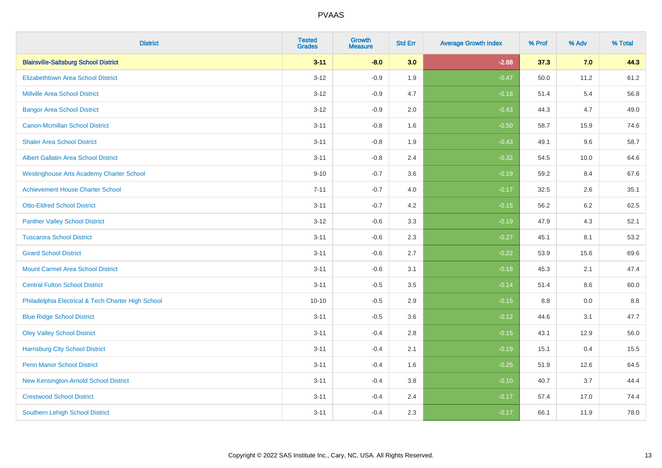| <b>District</b>                                    | <b>Tested</b><br><b>Grades</b> | <b>Growth</b><br><b>Measure</b> | <b>Std Err</b> | <b>Average Growth Index</b> | % Prof | % Adv   | % Total |
|----------------------------------------------------|--------------------------------|---------------------------------|----------------|-----------------------------|--------|---------|---------|
| <b>Blairsville-Saltsburg School District</b>       | $3 - 11$                       | $-8.0$                          | 3.0            | $-2.68$                     | 37.3   | 7.0     | 44.3    |
| <b>Elizabethtown Area School District</b>          | $3 - 12$                       | $-0.9$                          | 1.9            | $-0.47$                     | 50.0   | 11.2    | 61.2    |
| <b>Millville Area School District</b>              | $3 - 12$                       | $-0.9$                          | 4.7            | $-0.18$                     | 51.4   | 5.4     | 56.8    |
| <b>Bangor Area School District</b>                 | $3 - 12$                       | $-0.9$                          | 2.0            | $-0.43$                     | 44.3   | 4.7     | 49.0    |
| <b>Canon-Mcmillan School District</b>              | $3 - 11$                       | $-0.8$                          | 1.6            | $-0.50$                     | 58.7   | 15.9    | 74.6    |
| <b>Shaler Area School District</b>                 | $3 - 11$                       | $-0.8$                          | 1.9            | $-0.43$                     | 49.1   | 9.6     | 58.7    |
| <b>Albert Gallatin Area School District</b>        | $3 - 11$                       | $-0.8$                          | 2.4            | $-0.32$                     | 54.5   | 10.0    | 64.6    |
| <b>Westinghouse Arts Academy Charter School</b>    | $9 - 10$                       | $-0.7$                          | 3.6            | $-0.19$                     | 59.2   | 8.4     | 67.6    |
| <b>Achievement House Charter School</b>            | $7 - 11$                       | $-0.7$                          | 4.0            | $-0.17$                     | 32.5   | 2.6     | 35.1    |
| <b>Otto-Eldred School District</b>                 | $3 - 11$                       | $-0.7$                          | 4.2            | $-0.15$                     | 56.2   | $6.2\,$ | 62.5    |
| <b>Panther Valley School District</b>              | $3 - 12$                       | $-0.6$                          | 3.3            | $-0.19$                     | 47.9   | 4.3     | 52.1    |
| <b>Tuscarora School District</b>                   | $3 - 11$                       | $-0.6$                          | 2.3            | $-0.27$                     | 45.1   | 8.1     | 53.2    |
| <b>Girard School District</b>                      | $3 - 11$                       | $-0.6$                          | 2.7            | $-0.22$                     | 53.9   | 15.6    | 69.6    |
| <b>Mount Carmel Area School District</b>           | $3 - 11$                       | $-0.6$                          | 3.1            | $-0.18$                     | 45.3   | 2.1     | 47.4    |
| <b>Central Fulton School District</b>              | $3 - 11$                       | $-0.5$                          | 3.5            | $-0.14$                     | 51.4   | 8.6     | 60.0    |
| Philadelphia Electrical & Tech Charter High School | $10 - 10$                      | $-0.5$                          | 2.9            | $-0.15$                     | 8.8    | 0.0     | 8.8     |
| <b>Blue Ridge School District</b>                  | $3 - 11$                       | $-0.5$                          | 3.6            | $-0.12$                     | 44.6   | 3.1     | 47.7    |
| <b>Oley Valley School District</b>                 | $3 - 11$                       | $-0.4$                          | 2.8            | $-0.15$                     | 43.1   | 12.9    | 56.0    |
| <b>Harrisburg City School District</b>             | $3 - 11$                       | $-0.4$                          | 2.1            | $-0.19$                     | 15.1   | 0.4     | 15.5    |
| <b>Penn Manor School District</b>                  | $3 - 11$                       | $-0.4$                          | 1.6            | $-0.25$                     | 51.9   | 12.6    | 64.5    |
| New Kensington-Arnold School District              | $3 - 11$                       | $-0.4$                          | 3.8            | $-0.10$                     | 40.7   | 3.7     | 44.4    |
| <b>Crestwood School District</b>                   | $3 - 11$                       | $-0.4$                          | 2.4            | $-0.17$                     | 57.4   | 17.0    | 74.4    |
| <b>Southern Lehigh School District</b>             | $3 - 11$                       | $-0.4$                          | 2.3            | $-0.17$                     | 66.1   | 11.9    | 78.0    |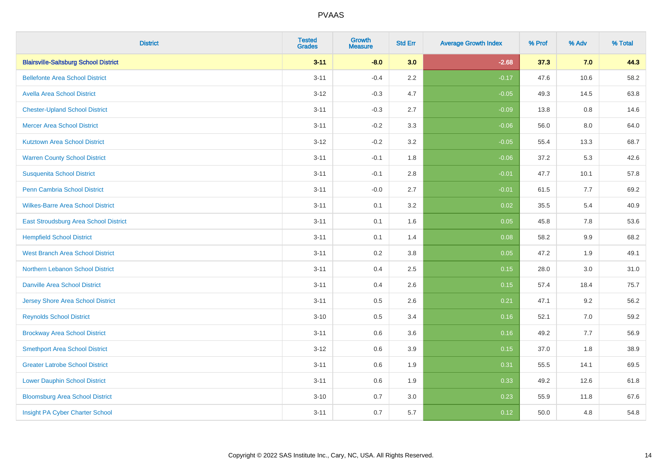| <b>District</b>                              | <b>Tested</b><br><b>Grades</b> | <b>Growth</b><br><b>Measure</b> | <b>Std Err</b> | <b>Average Growth Index</b> | % Prof | % Adv | % Total |
|----------------------------------------------|--------------------------------|---------------------------------|----------------|-----------------------------|--------|-------|---------|
| <b>Blairsville-Saltsburg School District</b> | $3 - 11$                       | $-8.0$                          | 3.0            | $-2.68$                     | 37.3   | 7.0   | 44.3    |
| <b>Bellefonte Area School District</b>       | $3 - 11$                       | $-0.4$                          | 2.2            | $-0.17$                     | 47.6   | 10.6  | 58.2    |
| <b>Avella Area School District</b>           | $3 - 12$                       | $-0.3$                          | 4.7            | $-0.05$                     | 49.3   | 14.5  | 63.8    |
| <b>Chester-Upland School District</b>        | $3 - 11$                       | $-0.3$                          | 2.7            | $-0.09$                     | 13.8   | 0.8   | 14.6    |
| <b>Mercer Area School District</b>           | $3 - 11$                       | $-0.2$                          | 3.3            | $-0.06$                     | 56.0   | 8.0   | 64.0    |
| <b>Kutztown Area School District</b>         | $3 - 12$                       | $-0.2$                          | 3.2            | $-0.05$                     | 55.4   | 13.3  | 68.7    |
| <b>Warren County School District</b>         | $3 - 11$                       | $-0.1$                          | 1.8            | $-0.06$                     | 37.2   | 5.3   | 42.6    |
| <b>Susquenita School District</b>            | $3 - 11$                       | $-0.1$                          | 2.8            | $-0.01$                     | 47.7   | 10.1  | 57.8    |
| <b>Penn Cambria School District</b>          | $3 - 11$                       | $-0.0$                          | 2.7            | $-0.01$                     | 61.5   | 7.7   | 69.2    |
| <b>Wilkes-Barre Area School District</b>     | $3 - 11$                       | 0.1                             | 3.2            | 0.02                        | 35.5   | 5.4   | 40.9    |
| East Stroudsburg Area School District        | $3 - 11$                       | 0.1                             | 1.6            | 0.05                        | 45.8   | 7.8   | 53.6    |
| <b>Hempfield School District</b>             | $3 - 11$                       | 0.1                             | 1.4            | 0.08                        | 58.2   | 9.9   | 68.2    |
| <b>West Branch Area School District</b>      | $3 - 11$                       | 0.2                             | 3.8            | 0.05                        | 47.2   | 1.9   | 49.1    |
| Northern Lebanon School District             | $3 - 11$                       | 0.4                             | 2.5            | 0.15                        | 28.0   | 3.0   | 31.0    |
| <b>Danville Area School District</b>         | $3 - 11$                       | 0.4                             | 2.6            | 0.15                        | 57.4   | 18.4  | 75.7    |
| <b>Jersey Shore Area School District</b>     | $3 - 11$                       | 0.5                             | 2.6            | 0.21                        | 47.1   | 9.2   | 56.2    |
| <b>Reynolds School District</b>              | $3 - 10$                       | 0.5                             | 3.4            | 0.16                        | 52.1   | 7.0   | 59.2    |
| <b>Brockway Area School District</b>         | $3 - 11$                       | 0.6                             | 3.6            | 0.16                        | 49.2   | 7.7   | 56.9    |
| <b>Smethport Area School District</b>        | $3 - 12$                       | 0.6                             | 3.9            | 0.15                        | 37.0   | 1.8   | 38.9    |
| <b>Greater Latrobe School District</b>       | $3 - 11$                       | 0.6                             | 1.9            | 0.31                        | 55.5   | 14.1  | 69.5    |
| <b>Lower Dauphin School District</b>         | $3 - 11$                       | 0.6                             | 1.9            | 0.33                        | 49.2   | 12.6  | 61.8    |
| <b>Bloomsburg Area School District</b>       | $3 - 10$                       | 0.7                             | 3.0            | 0.23                        | 55.9   | 11.8  | 67.6    |
| Insight PA Cyber Charter School              | $3 - 11$                       | 0.7                             | 5.7            | 0.12                        | 50.0   | 4.8   | 54.8    |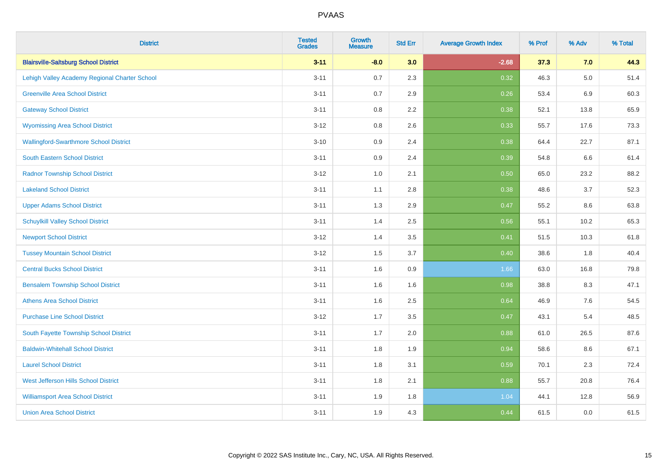| <b>District</b>                               | <b>Tested</b><br><b>Grades</b> | <b>Growth</b><br><b>Measure</b> | <b>Std Err</b> | <b>Average Growth Index</b> | % Prof | % Adv   | % Total |
|-----------------------------------------------|--------------------------------|---------------------------------|----------------|-----------------------------|--------|---------|---------|
| <b>Blairsville-Saltsburg School District</b>  | $3 - 11$                       | $-8.0$                          | 3.0            | $-2.68$                     | 37.3   | 7.0     | 44.3    |
| Lehigh Valley Academy Regional Charter School | $3 - 11$                       | 0.7                             | 2.3            | 0.32                        | 46.3   | $5.0\,$ | 51.4    |
| <b>Greenville Area School District</b>        | $3 - 11$                       | 0.7                             | 2.9            | 0.26                        | 53.4   | 6.9     | 60.3    |
| <b>Gateway School District</b>                | $3 - 11$                       | 0.8                             | 2.2            | 0.38                        | 52.1   | 13.8    | 65.9    |
| <b>Wyomissing Area School District</b>        | $3 - 12$                       | 0.8                             | 2.6            | 0.33                        | 55.7   | 17.6    | 73.3    |
| <b>Wallingford-Swarthmore School District</b> | $3 - 10$                       | 0.9                             | 2.4            | 0.38                        | 64.4   | 22.7    | 87.1    |
| South Eastern School District                 | $3 - 11$                       | 0.9                             | 2.4            | 0.39                        | 54.8   | $6.6\,$ | 61.4    |
| <b>Radnor Township School District</b>        | $3 - 12$                       | 1.0                             | 2.1            | 0.50                        | 65.0   | 23.2    | 88.2    |
| <b>Lakeland School District</b>               | $3 - 11$                       | 1.1                             | 2.8            | 0.38                        | 48.6   | 3.7     | 52.3    |
| <b>Upper Adams School District</b>            | $3 - 11$                       | 1.3                             | 2.9            | 0.47                        | 55.2   | 8.6     | 63.8    |
| <b>Schuylkill Valley School District</b>      | $3 - 11$                       | 1.4                             | 2.5            | 0.56                        | 55.1   | 10.2    | 65.3    |
| <b>Newport School District</b>                | $3 - 12$                       | 1.4                             | 3.5            | 0.41                        | 51.5   | 10.3    | 61.8    |
| <b>Tussey Mountain School District</b>        | $3 - 12$                       | 1.5                             | 3.7            | 0.40                        | 38.6   | 1.8     | 40.4    |
| <b>Central Bucks School District</b>          | $3 - 11$                       | 1.6                             | 0.9            | 1.66                        | 63.0   | 16.8    | 79.8    |
| <b>Bensalem Township School District</b>      | $3 - 11$                       | 1.6                             | 1.6            | 0.98                        | 38.8   | 8.3     | 47.1    |
| <b>Athens Area School District</b>            | $3 - 11$                       | 1.6                             | 2.5            | 0.64                        | 46.9   | $7.6\,$ | 54.5    |
| <b>Purchase Line School District</b>          | $3 - 12$                       | 1.7                             | 3.5            | 0.47                        | 43.1   | 5.4     | 48.5    |
| South Fayette Township School District        | $3 - 11$                       | 1.7                             | 2.0            | 0.88                        | 61.0   | 26.5    | 87.6    |
| <b>Baldwin-Whitehall School District</b>      | $3 - 11$                       | 1.8                             | 1.9            | 0.94                        | 58.6   | 8.6     | 67.1    |
| <b>Laurel School District</b>                 | $3 - 11$                       | 1.8                             | 3.1            | 0.59                        | 70.1   | 2.3     | 72.4    |
| <b>West Jefferson Hills School District</b>   | $3 - 11$                       | 1.8                             | 2.1            | 0.88                        | 55.7   | 20.8    | 76.4    |
| <b>Williamsport Area School District</b>      | $3 - 11$                       | 1.9                             | 1.8            | 1.04                        | 44.1   | 12.8    | 56.9    |
| <b>Union Area School District</b>             | $3 - 11$                       | 1.9                             | 4.3            | 0.44                        | 61.5   | 0.0     | 61.5    |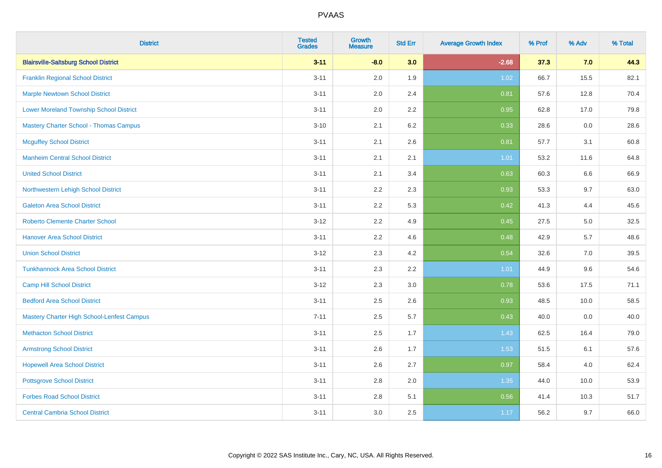| <b>District</b>                                | <b>Tested</b><br><b>Grades</b> | <b>Growth</b><br><b>Measure</b> | <b>Std Err</b> | <b>Average Growth Index</b> | % Prof | % Adv | % Total |
|------------------------------------------------|--------------------------------|---------------------------------|----------------|-----------------------------|--------|-------|---------|
| <b>Blairsville-Saltsburg School District</b>   | $3 - 11$                       | $-8.0$                          | 3.0            | $-2.68$                     | 37.3   | 7.0   | 44.3    |
| <b>Franklin Regional School District</b>       | $3 - 11$                       | 2.0                             | 1.9            | 1.02                        | 66.7   | 15.5  | 82.1    |
| <b>Marple Newtown School District</b>          | $3 - 11$                       | 2.0                             | 2.4            | 0.81                        | 57.6   | 12.8  | 70.4    |
| <b>Lower Moreland Township School District</b> | $3 - 11$                       | 2.0                             | 2.2            | 0.95                        | 62.8   | 17.0  | 79.8    |
| <b>Mastery Charter School - Thomas Campus</b>  | $3 - 10$                       | 2.1                             | 6.2            | 0.33                        | 28.6   | 0.0   | 28.6    |
| <b>Mcguffey School District</b>                | $3 - 11$                       | 2.1                             | 2.6            | 0.81                        | 57.7   | 3.1   | 60.8    |
| <b>Manheim Central School District</b>         | $3 - 11$                       | 2.1                             | 2.1            | 1.01                        | 53.2   | 11.6  | 64.8    |
| <b>United School District</b>                  | $3 - 11$                       | 2.1                             | 3.4            | 0.63                        | 60.3   | 6.6   | 66.9    |
| Northwestern Lehigh School District            | $3 - 11$                       | 2.2                             | 2.3            | 0.93                        | 53.3   | 9.7   | 63.0    |
| <b>Galeton Area School District</b>            | $3 - 11$                       | 2.2                             | 5.3            | 0.42                        | 41.3   | 4.4   | 45.6    |
| <b>Roberto Clemente Charter School</b>         | $3 - 12$                       | 2.2                             | 4.9            | 0.45                        | 27.5   | 5.0   | 32.5    |
| <b>Hanover Area School District</b>            | $3 - 11$                       | 2.2                             | 4.6            | 0.48                        | 42.9   | 5.7   | 48.6    |
| <b>Union School District</b>                   | $3 - 12$                       | 2.3                             | 4.2            | 0.54                        | 32.6   | 7.0   | 39.5    |
| <b>Tunkhannock Area School District</b>        | $3 - 11$                       | 2.3                             | 2.2            | 1.01                        | 44.9   | 9.6   | 54.6    |
| <b>Camp Hill School District</b>               | $3-12$                         | 2.3                             | 3.0            | 0.78                        | 53.6   | 17.5  | 71.1    |
| <b>Bedford Area School District</b>            | $3 - 11$                       | 2.5                             | 2.6            | 0.93                        | 48.5   | 10.0  | 58.5    |
| Mastery Charter High School-Lenfest Campus     | $7 - 11$                       | 2.5                             | 5.7            | 0.43                        | 40.0   | 0.0   | 40.0    |
| <b>Methacton School District</b>               | $3 - 11$                       | 2.5                             | 1.7            | 1.43                        | 62.5   | 16.4  | 79.0    |
| <b>Armstrong School District</b>               | $3 - 11$                       | 2.6                             | 1.7            | 1.53                        | 51.5   | 6.1   | 57.6    |
| <b>Hopewell Area School District</b>           | $3 - 11$                       | 2.6                             | 2.7            | 0.97                        | 58.4   | 4.0   | 62.4    |
| <b>Pottsgrove School District</b>              | $3 - 11$                       | 2.8                             | 2.0            | 1.35                        | 44.0   | 10.0  | 53.9    |
| <b>Forbes Road School District</b>             | $3 - 11$                       | 2.8                             | 5.1            | 0.56                        | 41.4   | 10.3  | 51.7    |
| <b>Central Cambria School District</b>         | $3 - 11$                       | 3.0                             | 2.5            | 1.17                        | 56.2   | 9.7   | 66.0    |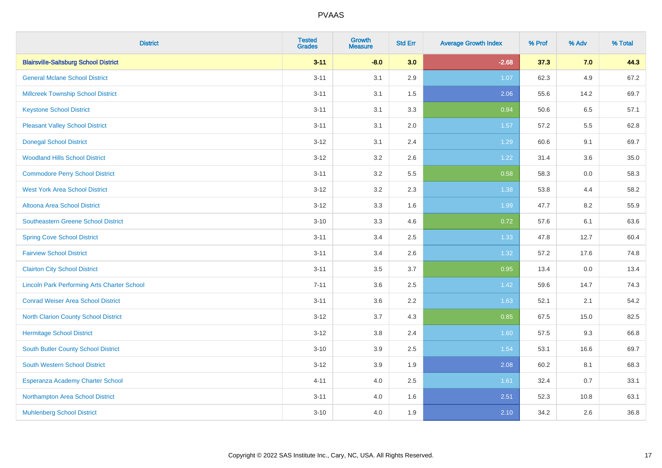| <b>District</b>                                    | <b>Tested</b><br><b>Grades</b> | <b>Growth</b><br><b>Measure</b> | <b>Std Err</b> | <b>Average Growth Index</b> | % Prof | % Adv | % Total |
|----------------------------------------------------|--------------------------------|---------------------------------|----------------|-----------------------------|--------|-------|---------|
| <b>Blairsville-Saltsburg School District</b>       | $3 - 11$                       | $-8.0$                          | 3.0            | $-2.68$                     | 37.3   | 7.0   | 44.3    |
| <b>General Mclane School District</b>              | $3 - 11$                       | 3.1                             | 2.9            | 1.07                        | 62.3   | 4.9   | 67.2    |
| <b>Millcreek Township School District</b>          | $3 - 11$                       | 3.1                             | 1.5            | 2.06                        | 55.6   | 14.2  | 69.7    |
| <b>Keystone School District</b>                    | $3 - 11$                       | 3.1                             | 3.3            | 0.94                        | 50.6   | 6.5   | 57.1    |
| <b>Pleasant Valley School District</b>             | $3 - 11$                       | 3.1                             | 2.0            | 1.57                        | 57.2   | 5.5   | 62.8    |
| <b>Donegal School District</b>                     | $3 - 12$                       | 3.1                             | 2.4            | 1.29                        | 60.6   | 9.1   | 69.7    |
| <b>Woodland Hills School District</b>              | $3 - 12$                       | 3.2                             | 2.6            | 1.22                        | 31.4   | 3.6   | 35.0    |
| <b>Commodore Perry School District</b>             | $3 - 11$                       | 3.2                             | 5.5            | 0.58                        | 58.3   | 0.0   | 58.3    |
| <b>West York Area School District</b>              | $3 - 12$                       | 3.2                             | 2.3            | 1.38                        | 53.8   | 4.4   | 58.2    |
| <b>Altoona Area School District</b>                | $3 - 12$                       | 3.3                             | 1.6            | 1.99                        | 47.7   | 8.2   | 55.9    |
| Southeastern Greene School District                | $3 - 10$                       | 3.3                             | 4.6            | 0.72                        | 57.6   | 6.1   | 63.6    |
| <b>Spring Cove School District</b>                 | $3 - 11$                       | 3.4                             | 2.5            | 1.33                        | 47.8   | 12.7  | 60.4    |
| <b>Fairview School District</b>                    | $3 - 11$                       | 3.4                             | 2.6            | 1.32                        | 57.2   | 17.6  | 74.8    |
| <b>Clairton City School District</b>               | $3 - 11$                       | 3.5                             | 3.7            | 0.95                        | 13.4   | 0.0   | 13.4    |
| <b>Lincoln Park Performing Arts Charter School</b> | $7 - 11$                       | 3.6                             | 2.5            | 1.42                        | 59.6   | 14.7  | 74.3    |
| <b>Conrad Weiser Area School District</b>          | $3 - 11$                       | 3.6                             | 2.2            | 1.63                        | 52.1   | 2.1   | 54.2    |
| <b>North Clarion County School District</b>        | $3 - 12$                       | 3.7                             | 4.3            | 0.85                        | 67.5   | 15.0  | 82.5    |
| <b>Hermitage School District</b>                   | $3 - 12$                       | $3.8\,$                         | 2.4            | 1.60                        | 57.5   | 9.3   | 66.8    |
| <b>South Butler County School District</b>         | $3 - 10$                       | 3.9                             | 2.5            | 1.54                        | 53.1   | 16.6  | 69.7    |
| <b>South Western School District</b>               | $3 - 12$                       | 3.9                             | 1.9            | 2.08                        | 60.2   | 8.1   | 68.3    |
| Esperanza Academy Charter School                   | $4 - 11$                       | 4.0                             | 2.5            | 1.61                        | 32.4   | 0.7   | 33.1    |
| Northampton Area School District                   | $3 - 11$                       | 4.0                             | 1.6            | 2.51                        | 52.3   | 10.8  | 63.1    |
| <b>Muhlenberg School District</b>                  | $3 - 10$                       | 4.0                             | 1.9            | 2.10                        | 34.2   | 2.6   | 36.8    |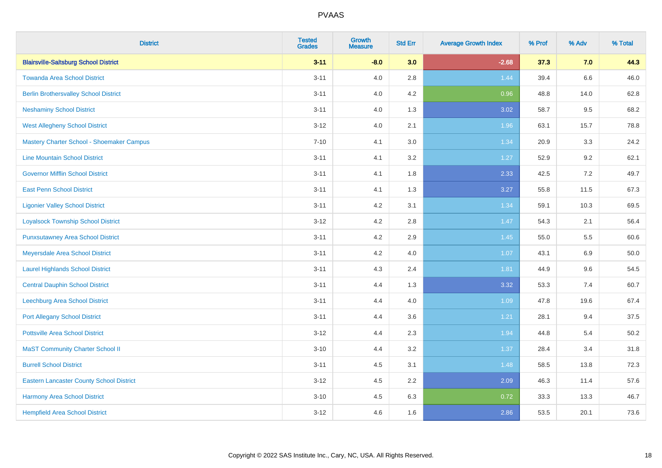| <b>District</b>                                 | <b>Tested</b><br><b>Grades</b> | Growth<br><b>Measure</b> | <b>Std Err</b> | <b>Average Growth Index</b> | % Prof | % Adv   | % Total |
|-------------------------------------------------|--------------------------------|--------------------------|----------------|-----------------------------|--------|---------|---------|
| <b>Blairsville-Saltsburg School District</b>    | $3 - 11$                       | $-8.0$                   | 3.0            | $-2.68$                     | 37.3   | 7.0     | 44.3    |
| <b>Towanda Area School District</b>             | $3 - 11$                       | 4.0                      | 2.8            | 1.44                        | 39.4   | $6.6\,$ | 46.0    |
| <b>Berlin Brothersvalley School District</b>    | $3 - 11$                       | 4.0                      | 4.2            | 0.96                        | 48.8   | 14.0    | 62.8    |
| <b>Neshaminy School District</b>                | $3 - 11$                       | 4.0                      | 1.3            | 3.02                        | 58.7   | 9.5     | 68.2    |
| <b>West Allegheny School District</b>           | $3 - 12$                       | 4.0                      | 2.1            | 1.96                        | 63.1   | 15.7    | 78.8    |
| Mastery Charter School - Shoemaker Campus       | $7 - 10$                       | 4.1                      | 3.0            | 1.34                        | 20.9   | 3.3     | 24.2    |
| <b>Line Mountain School District</b>            | $3 - 11$                       | 4.1                      | 3.2            | 1.27                        | 52.9   | 9.2     | 62.1    |
| <b>Governor Mifflin School District</b>         | $3 - 11$                       | 4.1                      | 1.8            | 2.33                        | 42.5   | 7.2     | 49.7    |
| <b>East Penn School District</b>                | $3 - 11$                       | 4.1                      | 1.3            | 3.27                        | 55.8   | 11.5    | 67.3    |
| <b>Ligonier Valley School District</b>          | $3 - 11$                       | 4.2                      | 3.1            | 1.34                        | 59.1   | 10.3    | 69.5    |
| <b>Loyalsock Township School District</b>       | $3 - 12$                       | 4.2                      | 2.8            | 1.47                        | 54.3   | 2.1     | 56.4    |
| <b>Punxsutawney Area School District</b>        | $3 - 11$                       | 4.2                      | 2.9            | $1.45$                      | 55.0   | 5.5     | 60.6    |
| Meyersdale Area School District                 | $3 - 11$                       | 4.2                      | 4.0            | 1.07                        | 43.1   | 6.9     | 50.0    |
| <b>Laurel Highlands School District</b>         | $3 - 11$                       | 4.3                      | 2.4            | 1.81                        | 44.9   | 9.6     | 54.5    |
| <b>Central Dauphin School District</b>          | $3 - 11$                       | 4.4                      | 1.3            | 3.32                        | 53.3   | 7.4     | 60.7    |
| <b>Leechburg Area School District</b>           | $3 - 11$                       | 4.4                      | 4.0            | 1.09                        | 47.8   | 19.6    | 67.4    |
| <b>Port Allegany School District</b>            | $3 - 11$                       | 4.4                      | 3.6            | 1.21                        | 28.1   | 9.4     | 37.5    |
| <b>Pottsville Area School District</b>          | $3 - 12$                       | 4.4                      | 2.3            | 1.94                        | 44.8   | 5.4     | 50.2    |
| <b>MaST Community Charter School II</b>         | $3 - 10$                       | 4.4                      | 3.2            | 1.37                        | 28.4   | 3.4     | 31.8    |
| <b>Burrell School District</b>                  | $3 - 11$                       | 4.5                      | 3.1            | 1.48                        | 58.5   | 13.8    | 72.3    |
| <b>Eastern Lancaster County School District</b> | $3 - 12$                       | 4.5                      | 2.2            | 2.09                        | 46.3   | 11.4    | 57.6    |
| Harmony Area School District                    | $3 - 10$                       | 4.5                      | 6.3            | 0.72                        | 33.3   | 13.3    | 46.7    |
| <b>Hempfield Area School District</b>           | $3 - 12$                       | 4.6                      | 1.6            | 2.86                        | 53.5   | 20.1    | 73.6    |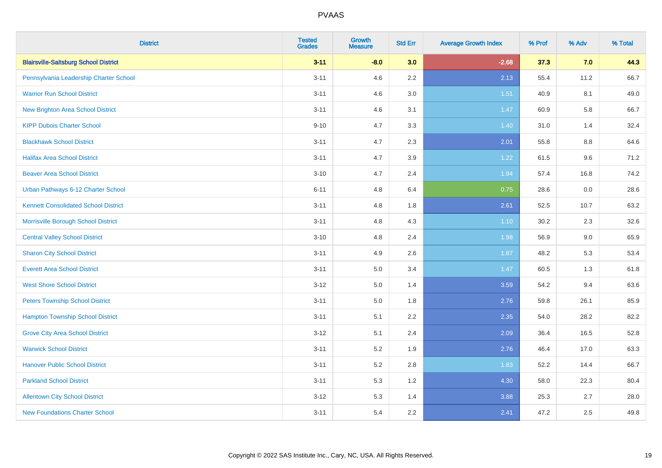| <b>District</b>                              | <b>Tested</b><br><b>Grades</b> | <b>Growth</b><br><b>Measure</b> | <b>Std Err</b> | <b>Average Growth Index</b> | % Prof | % Adv | % Total |
|----------------------------------------------|--------------------------------|---------------------------------|----------------|-----------------------------|--------|-------|---------|
| <b>Blairsville-Saltsburg School District</b> | $3 - 11$                       | $-8.0$                          | 3.0            | $-2.68$                     | 37.3   | 7.0   | 44.3    |
| Pennsylvania Leadership Charter School       | $3 - 11$                       | 4.6                             | $2.2\,$        | 2.13                        | 55.4   | 11.2  | 66.7    |
| <b>Warrior Run School District</b>           | $3 - 11$                       | 4.6                             | 3.0            | 1.51                        | 40.9   | 8.1   | 49.0    |
| <b>New Brighton Area School District</b>     | $3 - 11$                       | 4.6                             | 3.1            | 1.47                        | 60.9   | 5.8   | 66.7    |
| <b>KIPP Dubois Charter School</b>            | $9 - 10$                       | 4.7                             | 3.3            | 1.40                        | 31.0   | 1.4   | 32.4    |
| <b>Blackhawk School District</b>             | $3 - 11$                       | 4.7                             | 2.3            | 2.01                        | 55.8   | 8.8   | 64.6    |
| <b>Halifax Area School District</b>          | $3 - 11$                       | 4.7                             | 3.9            | 1.22                        | 61.5   | 9.6   | 71.2    |
| <b>Beaver Area School District</b>           | $3 - 10$                       | 4.7                             | 2.4            | 1.94                        | 57.4   | 16.8  | 74.2    |
| Urban Pathways 6-12 Charter School           | $6 - 11$                       | 4.8                             | 6.4            | 0.75                        | 28.6   | 0.0   | 28.6    |
| <b>Kennett Consolidated School District</b>  | $3 - 11$                       | 4.8                             | 1.8            | 2.61                        | 52.5   | 10.7  | 63.2    |
| Morrisville Borough School District          | $3 - 11$                       | 4.8                             | 4.3            | $1.10$                      | 30.2   | 2.3   | 32.6    |
| <b>Central Valley School District</b>        | $3 - 10$                       | 4.8                             | 2.4            | 1.98                        | 56.9   | 9.0   | 65.9    |
| <b>Sharon City School District</b>           | $3 - 11$                       | 4.9                             | 2.6            | 1.87                        | 48.2   | 5.3   | 53.4    |
| <b>Everett Area School District</b>          | $3 - 11$                       | 5.0                             | 3.4            | 1.47                        | 60.5   | 1.3   | 61.8    |
| <b>West Shore School District</b>            | $3 - 12$                       | 5.0                             | 1.4            | 3.59                        | 54.2   | 9.4   | 63.6    |
| <b>Peters Township School District</b>       | $3 - 11$                       | $5.0\,$                         | 1.8            | 2.76                        | 59.8   | 26.1  | 85.9    |
| <b>Hampton Township School District</b>      | $3 - 11$                       | 5.1                             | 2.2            | 2.35                        | 54.0   | 28.2  | 82.2    |
| <b>Grove City Area School District</b>       | $3 - 12$                       | 5.1                             | 2.4            | 2.09                        | 36.4   | 16.5  | 52.8    |
| <b>Warwick School District</b>               | $3 - 11$                       | 5.2                             | 1.9            | 2.76                        | 46.4   | 17.0  | 63.3    |
| <b>Hanover Public School District</b>        | $3 - 11$                       | 5.2                             | 2.8            | 1.83                        | 52.2   | 14.4  | 66.7    |
| <b>Parkland School District</b>              | $3 - 11$                       | $5.3\,$                         | 1.2            | 4.30                        | 58.0   | 22.3  | 80.4    |
| <b>Allentown City School District</b>        | $3 - 12$                       | 5.3                             | 1.4            | 3.88                        | 25.3   | 2.7   | 28.0    |
| <b>New Foundations Charter School</b>        | $3 - 11$                       | 5.4                             | 2.2            | 2.41                        | 47.2   | 2.5   | 49.8    |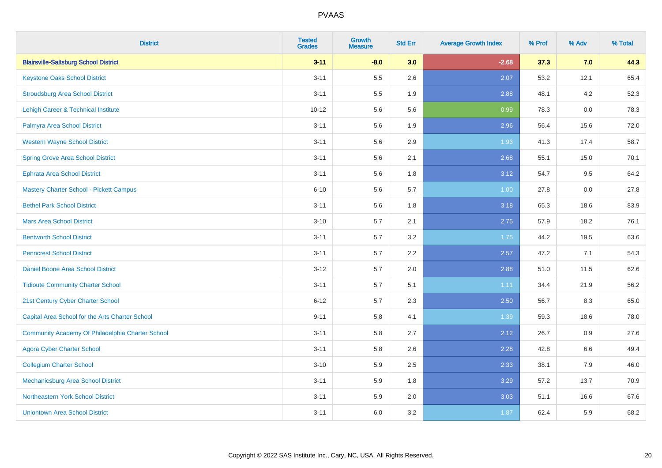| <b>District</b>                                  | <b>Tested</b><br><b>Grades</b> | <b>Growth</b><br><b>Measure</b> | <b>Std Err</b> | <b>Average Growth Index</b> | % Prof | % Adv | % Total |
|--------------------------------------------------|--------------------------------|---------------------------------|----------------|-----------------------------|--------|-------|---------|
| <b>Blairsville-Saltsburg School District</b>     | $3 - 11$                       | $-8.0$                          | 3.0            | $-2.68$                     | 37.3   | 7.0   | 44.3    |
| <b>Keystone Oaks School District</b>             | $3 - 11$                       | 5.5                             | 2.6            | 2.07                        | 53.2   | 12.1  | 65.4    |
| <b>Stroudsburg Area School District</b>          | $3 - 11$                       | 5.5                             | 1.9            | 2.88                        | 48.1   | 4.2   | 52.3    |
| Lehigh Career & Technical Institute              | $10 - 12$                      | 5.6                             | 5.6            | 0.99                        | 78.3   | 0.0   | 78.3    |
| Palmyra Area School District                     | $3 - 11$                       | 5.6                             | 1.9            | 2.96                        | 56.4   | 15.6  | 72.0    |
| <b>Western Wayne School District</b>             | $3 - 11$                       | 5.6                             | 2.9            | 1.93                        | 41.3   | 17.4  | 58.7    |
| <b>Spring Grove Area School District</b>         | $3 - 11$                       | 5.6                             | 2.1            | 2.68                        | 55.1   | 15.0  | 70.1    |
| <b>Ephrata Area School District</b>              | $3 - 11$                       | 5.6                             | 1.8            | 3.12                        | 54.7   | 9.5   | 64.2    |
| <b>Mastery Charter School - Pickett Campus</b>   | $6 - 10$                       | 5.6                             | 5.7            | 1.00                        | 27.8   | 0.0   | 27.8    |
| <b>Bethel Park School District</b>               | $3 - 11$                       | 5.6                             | 1.8            | 3.18                        | 65.3   | 18.6  | 83.9    |
| <b>Mars Area School District</b>                 | $3 - 10$                       | 5.7                             | 2.1            | 2.75                        | 57.9   | 18.2  | 76.1    |
| <b>Bentworth School District</b>                 | $3 - 11$                       | 5.7                             | 3.2            | 1.75                        | 44.2   | 19.5  | 63.6    |
| <b>Penncrest School District</b>                 | $3 - 11$                       | 5.7                             | 2.2            | 2.57                        | 47.2   | 7.1   | 54.3    |
| Daniel Boone Area School District                | $3 - 12$                       | 5.7                             | 2.0            | 2.88                        | 51.0   | 11.5  | 62.6    |
| <b>Tidioute Community Charter School</b>         | $3 - 11$                       | 5.7                             | 5.1            | 1.11                        | 34.4   | 21.9  | 56.2    |
| 21st Century Cyber Charter School                | $6 - 12$                       | 5.7                             | 2.3            | 2.50                        | 56.7   | 8.3   | 65.0    |
| Capital Area School for the Arts Charter School  | $9 - 11$                       | 5.8                             | 4.1            | 1.39                        | 59.3   | 18.6  | 78.0    |
| Community Academy Of Philadelphia Charter School | $3 - 11$                       | 5.8                             | 2.7            | 2.12                        | 26.7   | 0.9   | 27.6    |
| <b>Agora Cyber Charter School</b>                | $3 - 11$                       | 5.8                             | 2.6            | 2.28                        | 42.8   | 6.6   | 49.4    |
| <b>Collegium Charter School</b>                  | $3 - 10$                       | 5.9                             | 2.5            | 2.33                        | 38.1   | 7.9   | 46.0    |
| <b>Mechanicsburg Area School District</b>        | $3 - 11$                       | 5.9                             | 1.8            | 3.29                        | 57.2   | 13.7  | 70.9    |
| Northeastern York School District                | $3 - 11$                       | 5.9                             | 2.0            | 3.03                        | 51.1   | 16.6  | 67.6    |
| <b>Uniontown Area School District</b>            | $3 - 11$                       | 6.0                             | 3.2            | 1.87                        | 62.4   | 5.9   | 68.2    |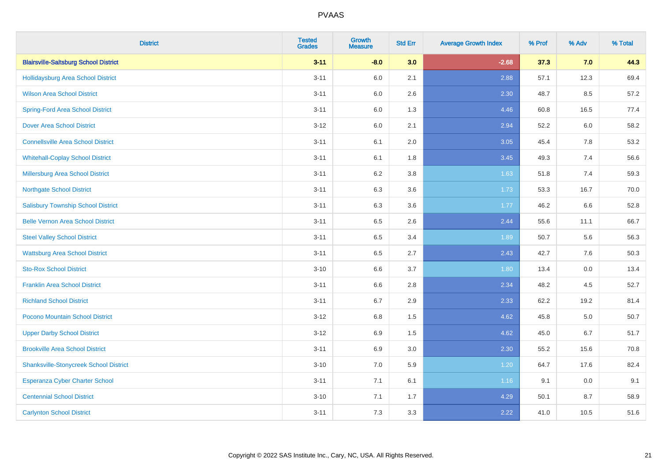| <b>District</b>                               | <b>Tested</b><br><b>Grades</b> | <b>Growth</b><br><b>Measure</b> | <b>Std Err</b> | <b>Average Growth Index</b> | % Prof | % Adv   | % Total |
|-----------------------------------------------|--------------------------------|---------------------------------|----------------|-----------------------------|--------|---------|---------|
| <b>Blairsville-Saltsburg School District</b>  | $3 - 11$                       | $-8.0$                          | 3.0            | $-2.68$                     | 37.3   | 7.0     | 44.3    |
| <b>Hollidaysburg Area School District</b>     | $3 - 11$                       | 6.0                             | 2.1            | 2.88                        | 57.1   | 12.3    | 69.4    |
| <b>Wilson Area School District</b>            | $3 - 11$                       | 6.0                             | 2.6            | 2.30                        | 48.7   | 8.5     | 57.2    |
| <b>Spring-Ford Area School District</b>       | $3 - 11$                       | 6.0                             | 1.3            | 4.46                        | 60.8   | 16.5    | 77.4    |
| <b>Dover Area School District</b>             | $3 - 12$                       | 6.0                             | 2.1            | 2.94                        | 52.2   | 6.0     | 58.2    |
| <b>Connellsville Area School District</b>     | $3 - 11$                       | 6.1                             | 2.0            | 3.05                        | 45.4   | 7.8     | 53.2    |
| <b>Whitehall-Coplay School District</b>       | $3 - 11$                       | 6.1                             | 1.8            | 3.45                        | 49.3   | 7.4     | 56.6    |
| <b>Millersburg Area School District</b>       | $3 - 11$                       | 6.2                             | 3.8            | 1.63                        | 51.8   | 7.4     | 59.3    |
| <b>Northgate School District</b>              | $3 - 11$                       | 6.3                             | 3.6            | 1.73                        | 53.3   | 16.7    | 70.0    |
| <b>Salisbury Township School District</b>     | $3 - 11$                       | 6.3                             | 3.6            | 1.77                        | 46.2   | 6.6     | 52.8    |
| <b>Belle Vernon Area School District</b>      | $3 - 11$                       | 6.5                             | 2.6            | 2.44                        | 55.6   | 11.1    | 66.7    |
| <b>Steel Valley School District</b>           | $3 - 11$                       | 6.5                             | 3.4            | 1.89                        | 50.7   | 5.6     | 56.3    |
| <b>Wattsburg Area School District</b>         | $3 - 11$                       | 6.5                             | 2.7            | 2.43                        | 42.7   | $7.6\,$ | 50.3    |
| <b>Sto-Rox School District</b>                | $3 - 10$                       | $6.6\,$                         | 3.7            | 1.80                        | 13.4   | 0.0     | 13.4    |
| <b>Franklin Area School District</b>          | $3 - 11$                       | 6.6                             | 2.8            | 2.34                        | 48.2   | 4.5     | 52.7    |
| <b>Richland School District</b>               | $3 - 11$                       | 6.7                             | 2.9            | 2.33                        | 62.2   | 19.2    | 81.4    |
| Pocono Mountain School District               | $3 - 12$                       | $6.8\,$                         | 1.5            | 4.62                        | 45.8   | 5.0     | 50.7    |
| <b>Upper Darby School District</b>            | $3 - 12$                       | 6.9                             | 1.5            | 4.62                        | 45.0   | 6.7     | 51.7    |
| <b>Brookville Area School District</b>        | $3 - 11$                       | 6.9                             | 3.0            | 2.30                        | 55.2   | 15.6    | 70.8    |
| <b>Shanksville-Stonycreek School District</b> | $3 - 10$                       | 7.0                             | 5.9            | 1.20                        | 64.7   | 17.6    | 82.4    |
| <b>Esperanza Cyber Charter School</b>         | $3 - 11$                       | 7.1                             | 6.1            | 1.16                        | 9.1    | 0.0     | 9.1     |
| <b>Centennial School District</b>             | $3 - 10$                       | 7.1                             | 1.7            | 4.29                        | 50.1   | 8.7     | 58.9    |
| <b>Carlynton School District</b>              | $3 - 11$                       | 7.3                             | 3.3            | 2.22                        | 41.0   | 10.5    | 51.6    |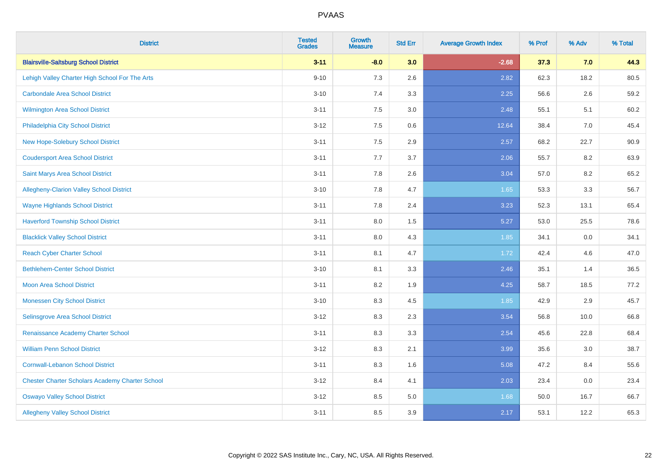| <b>District</b>                                        | <b>Tested</b><br><b>Grades</b> | <b>Growth</b><br><b>Measure</b> | <b>Std Err</b> | <b>Average Growth Index</b> | % Prof | % Adv | % Total |
|--------------------------------------------------------|--------------------------------|---------------------------------|----------------|-----------------------------|--------|-------|---------|
| <b>Blairsville-Saltsburg School District</b>           | $3 - 11$                       | $-8.0$                          | 3.0            | $-2.68$                     | 37.3   | 7.0   | 44.3    |
| Lehigh Valley Charter High School For The Arts         | $9 - 10$                       | 7.3                             | 2.6            | 2.82                        | 62.3   | 18.2  | 80.5    |
| <b>Carbondale Area School District</b>                 | $3 - 10$                       | 7.4                             | 3.3            | 2.25                        | 56.6   | 2.6   | 59.2    |
| Wilmington Area School District                        | $3 - 11$                       | $7.5\,$                         | 3.0            | 2.48                        | 55.1   | 5.1   | 60.2    |
| Philadelphia City School District                      | $3 - 12$                       | 7.5                             | 0.6            | 12.64                       | 38.4   | 7.0   | 45.4    |
| <b>New Hope-Solebury School District</b>               | $3 - 11$                       | 7.5                             | 2.9            | 2.57                        | 68.2   | 22.7  | 90.9    |
| <b>Coudersport Area School District</b>                | $3 - 11$                       | 7.7                             | 3.7            | 2.06                        | 55.7   | 8.2   | 63.9    |
| Saint Marys Area School District                       | $3 - 11$                       | 7.8                             | 2.6            | 3.04                        | 57.0   | 8.2   | 65.2    |
| Allegheny-Clarion Valley School District               | $3 - 10$                       | 7.8                             | 4.7            | 1.65                        | 53.3   | 3.3   | 56.7    |
| <b>Wayne Highlands School District</b>                 | $3 - 11$                       | 7.8                             | 2.4            | 3.23                        | 52.3   | 13.1  | 65.4    |
| <b>Haverford Township School District</b>              | $3 - 11$                       | 8.0                             | 1.5            | 5.27                        | 53.0   | 25.5  | 78.6    |
| <b>Blacklick Valley School District</b>                | $3 - 11$                       | $8.0\,$                         | 4.3            | 1.85                        | 34.1   | 0.0   | 34.1    |
| <b>Reach Cyber Charter School</b>                      | $3 - 11$                       | 8.1                             | 4.7            | 1.72                        | 42.4   | 4.6   | 47.0    |
| <b>Bethlehem-Center School District</b>                | $3 - 10$                       | 8.1                             | 3.3            | 2.46                        | 35.1   | 1.4   | 36.5    |
| <b>Moon Area School District</b>                       | $3 - 11$                       | 8.2                             | 1.9            | 4.25                        | 58.7   | 18.5  | 77.2    |
| <b>Monessen City School District</b>                   | $3 - 10$                       | 8.3                             | 4.5            | 1.85                        | 42.9   | 2.9   | 45.7    |
| Selinsgrove Area School District                       | $3 - 12$                       | 8.3                             | 2.3            | 3.54                        | 56.8   | 10.0  | 66.8    |
| Renaissance Academy Charter School                     | $3 - 11$                       | 8.3                             | 3.3            | 2.54                        | 45.6   | 22.8  | 68.4    |
| <b>William Penn School District</b>                    | $3 - 12$                       | 8.3                             | 2.1            | 3.99                        | 35.6   | 3.0   | 38.7    |
| <b>Cornwall-Lebanon School District</b>                | $3 - 11$                       | 8.3                             | 1.6            | 5.08                        | 47.2   | 8.4   | 55.6    |
| <b>Chester Charter Scholars Academy Charter School</b> | $3 - 12$                       | 8.4                             | 4.1            | 2.03                        | 23.4   | 0.0   | 23.4    |
| <b>Oswayo Valley School District</b>                   | $3 - 12$                       | 8.5                             | $5.0\,$        | 1.68                        | 50.0   | 16.7  | 66.7    |
| <b>Allegheny Valley School District</b>                | $3 - 11$                       | 8.5                             | 3.9            | 2.17                        | 53.1   | 12.2  | 65.3    |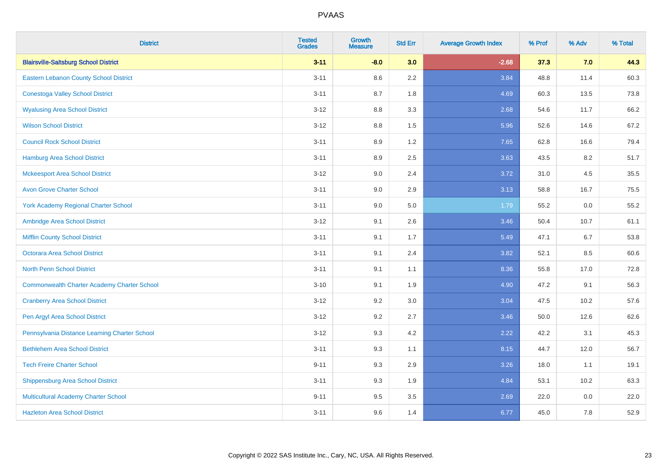| <b>District</b>                                    | <b>Tested</b><br><b>Grades</b> | <b>Growth</b><br><b>Measure</b> | <b>Std Err</b> | <b>Average Growth Index</b> | % Prof | % Adv | % Total |
|----------------------------------------------------|--------------------------------|---------------------------------|----------------|-----------------------------|--------|-------|---------|
| <b>Blairsville-Saltsburg School District</b>       | $3 - 11$                       | $-8.0$                          | 3.0            | $-2.68$                     | 37.3   | 7.0   | 44.3    |
| Eastern Lebanon County School District             | $3 - 11$                       | 8.6                             | 2.2            | 3.84                        | 48.8   | 11.4  | 60.3    |
| <b>Conestoga Valley School District</b>            | $3 - 11$                       | 8.7                             | 1.8            | 4.69                        | 60.3   | 13.5  | 73.8    |
| <b>Wyalusing Area School District</b>              | $3-12$                         | 8.8                             | 3.3            | 2.68                        | 54.6   | 11.7  | 66.2    |
| <b>Wilson School District</b>                      | $3 - 12$                       | 8.8                             | 1.5            | 5.96                        | 52.6   | 14.6  | 67.2    |
| <b>Council Rock School District</b>                | $3 - 11$                       | 8.9                             | 1.2            | 7.65                        | 62.8   | 16.6  | 79.4    |
| Hamburg Area School District                       | $3 - 11$                       | 8.9                             | 2.5            | 3.63                        | 43.5   | 8.2   | 51.7    |
| <b>Mckeesport Area School District</b>             | $3 - 12$                       | 9.0                             | 2.4            | 3.72                        | 31.0   | 4.5   | 35.5    |
| <b>Avon Grove Charter School</b>                   | $3 - 11$                       | 9.0                             | 2.9            | 3.13                        | 58.8   | 16.7  | 75.5    |
| <b>York Academy Regional Charter School</b>        | $3 - 11$                       | 9.0                             | 5.0            | 1.79                        | 55.2   | 0.0   | 55.2    |
| Ambridge Area School District                      | $3 - 12$                       | 9.1                             | 2.6            | 3.46                        | 50.4   | 10.7  | 61.1    |
| <b>Mifflin County School District</b>              | $3 - 11$                       | 9.1                             | 1.7            | 5.49                        | 47.1   | 6.7   | 53.8    |
| Octorara Area School District                      | $3 - 11$                       | 9.1                             | 2.4            | 3.82                        | 52.1   | 8.5   | 60.6    |
| <b>North Penn School District</b>                  | $3 - 11$                       | 9.1                             | 1.1            | 8.36                        | 55.8   | 17.0  | 72.8    |
| <b>Commonwealth Charter Academy Charter School</b> | $3 - 10$                       | 9.1                             | 1.9            | 4.90                        | 47.2   | 9.1   | 56.3    |
| <b>Cranberry Area School District</b>              | $3 - 12$                       | 9.2                             | 3.0            | 3.04                        | 47.5   | 10.2  | 57.6    |
| Pen Argyl Area School District                     | $3 - 12$                       | 9.2                             | 2.7            | 3.46                        | 50.0   | 12.6  | 62.6    |
| Pennsylvania Distance Learning Charter School      | $3 - 12$                       | 9.3                             | 4.2            | 2.22                        | 42.2   | 3.1   | 45.3    |
| <b>Bethlehem Area School District</b>              | $3 - 11$                       | 9.3                             | 1.1            | 8.15                        | 44.7   | 12.0  | 56.7    |
| <b>Tech Freire Charter School</b>                  | $9 - 11$                       | 9.3                             | 2.9            | 3.26                        | 18.0   | 1.1   | 19.1    |
| <b>Shippensburg Area School District</b>           | $3 - 11$                       | 9.3                             | 1.9            | 4.84                        | 53.1   | 10.2  | 63.3    |
| <b>Multicultural Academy Charter School</b>        | $9 - 11$                       | 9.5                             | 3.5            | 2.69                        | 22.0   | 0.0   | 22.0    |
| <b>Hazleton Area School District</b>               | $3 - 11$                       | 9.6                             | 1.4            | 6.77                        | 45.0   | 7.8   | 52.9    |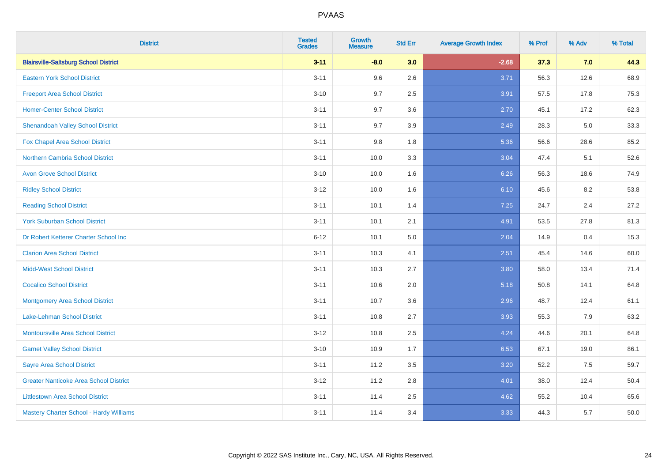| <b>District</b>                                | <b>Tested</b><br><b>Grades</b> | <b>Growth</b><br><b>Measure</b> | <b>Std Err</b> | <b>Average Growth Index</b> | % Prof | % Adv | % Total |
|------------------------------------------------|--------------------------------|---------------------------------|----------------|-----------------------------|--------|-------|---------|
| <b>Blairsville-Saltsburg School District</b>   | $3 - 11$                       | $-8.0$                          | 3.0            | $-2.68$                     | 37.3   | 7.0   | 44.3    |
| <b>Eastern York School District</b>            | $3 - 11$                       | 9.6                             | 2.6            | 3.71                        | 56.3   | 12.6  | 68.9    |
| <b>Freeport Area School District</b>           | $3 - 10$                       | 9.7                             | 2.5            | 3.91                        | 57.5   | 17.8  | 75.3    |
| <b>Homer-Center School District</b>            | $3 - 11$                       | 9.7                             | 3.6            | 2.70                        | 45.1   | 17.2  | 62.3    |
| <b>Shenandoah Valley School District</b>       | $3 - 11$                       | 9.7                             | 3.9            | 2.49                        | 28.3   | 5.0   | 33.3    |
| Fox Chapel Area School District                | $3 - 11$                       | 9.8                             | 1.8            | 5.36                        | 56.6   | 28.6  | 85.2    |
| <b>Northern Cambria School District</b>        | $3 - 11$                       | 10.0                            | 3.3            | 3.04                        | 47.4   | 5.1   | 52.6    |
| <b>Avon Grove School District</b>              | $3 - 10$                       | 10.0                            | 1.6            | 6.26                        | 56.3   | 18.6  | 74.9    |
| <b>Ridley School District</b>                  | $3 - 12$                       | 10.0                            | 1.6            | 6.10                        | 45.6   | 8.2   | 53.8    |
| <b>Reading School District</b>                 | $3 - 11$                       | 10.1                            | 1.4            | 7.25                        | 24.7   | 2.4   | 27.2    |
| <b>York Suburban School District</b>           | $3 - 11$                       | 10.1                            | 2.1            | 4.91                        | 53.5   | 27.8  | 81.3    |
| Dr Robert Ketterer Charter School Inc          | $6 - 12$                       | 10.1                            | 5.0            | 2.04                        | 14.9   | 0.4   | 15.3    |
| <b>Clarion Area School District</b>            | $3 - 11$                       | 10.3                            | 4.1            | 2.51                        | 45.4   | 14.6  | 60.0    |
| <b>Midd-West School District</b>               | $3 - 11$                       | 10.3                            | 2.7            | 3.80                        | 58.0   | 13.4  | 71.4    |
| <b>Cocalico School District</b>                | $3 - 11$                       | 10.6                            | 2.0            | 5.18                        | 50.8   | 14.1  | 64.8    |
| <b>Montgomery Area School District</b>         | $3 - 11$                       | 10.7                            | 3.6            | 2.96                        | 48.7   | 12.4  | 61.1    |
| <b>Lake-Lehman School District</b>             | $3 - 11$                       | 10.8                            | 2.7            | 3.93                        | 55.3   | 7.9   | 63.2    |
| Montoursville Area School District             | $3 - 12$                       | 10.8                            | 2.5            | 4.24                        | 44.6   | 20.1  | 64.8    |
| <b>Garnet Valley School District</b>           | $3 - 10$                       | 10.9                            | 1.7            | 6.53                        | 67.1   | 19.0  | 86.1    |
| <b>Sayre Area School District</b>              | $3 - 11$                       | 11.2                            | 3.5            | 3.20                        | 52.2   | 7.5   | 59.7    |
| <b>Greater Nanticoke Area School District</b>  | $3 - 12$                       | 11.2                            | 2.8            | 4.01                        | 38.0   | 12.4  | 50.4    |
| <b>Littlestown Area School District</b>        | $3 - 11$                       | 11.4                            | 2.5            | 4.62                        | 55.2   | 10.4  | 65.6    |
| <b>Mastery Charter School - Hardy Williams</b> | $3 - 11$                       | 11.4                            | 3.4            | 3.33                        | 44.3   | 5.7   | 50.0    |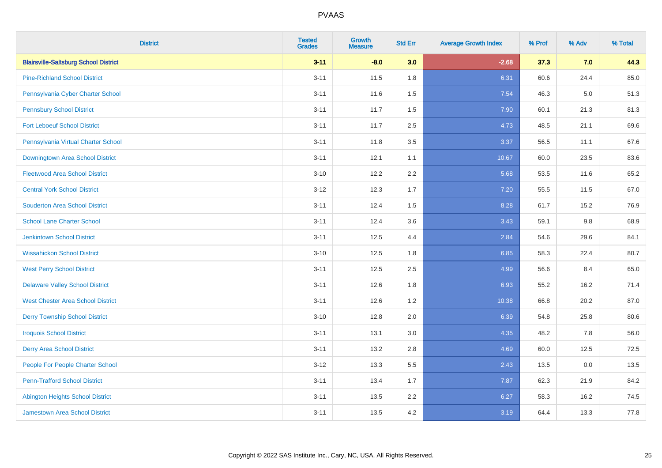| <b>District</b>                              | <b>Tested</b><br><b>Grades</b> | <b>Growth</b><br><b>Measure</b> | <b>Std Err</b> | <b>Average Growth Index</b> | % Prof | % Adv   | % Total |
|----------------------------------------------|--------------------------------|---------------------------------|----------------|-----------------------------|--------|---------|---------|
| <b>Blairsville-Saltsburg School District</b> | $3 - 11$                       | $-8.0$                          | 3.0            | $-2.68$                     | 37.3   | 7.0     | 44.3    |
| <b>Pine-Richland School District</b>         | $3 - 11$                       | 11.5                            | 1.8            | 6.31                        | 60.6   | 24.4    | 85.0    |
| Pennsylvania Cyber Charter School            | $3 - 11$                       | 11.6                            | 1.5            | 7.54                        | 46.3   | $5.0\,$ | 51.3    |
| <b>Pennsbury School District</b>             | $3 - 11$                       | 11.7                            | 1.5            | 7.90                        | 60.1   | 21.3    | 81.3    |
| <b>Fort Leboeuf School District</b>          | $3 - 11$                       | 11.7                            | 2.5            | 4.73                        | 48.5   | 21.1    | 69.6    |
| Pennsylvania Virtual Charter School          | $3 - 11$                       | 11.8                            | 3.5            | 3.37                        | 56.5   | 11.1    | 67.6    |
| Downingtown Area School District             | $3 - 11$                       | 12.1                            | 1.1            | 10.67                       | 60.0   | 23.5    | 83.6    |
| <b>Fleetwood Area School District</b>        | $3 - 10$                       | 12.2                            | 2.2            | 5.68                        | 53.5   | 11.6    | 65.2    |
| <b>Central York School District</b>          | $3 - 12$                       | 12.3                            | 1.7            | 7.20                        | 55.5   | 11.5    | 67.0    |
| <b>Souderton Area School District</b>        | $3 - 11$                       | 12.4                            | 1.5            | 8.28                        | 61.7   | 15.2    | 76.9    |
| <b>School Lane Charter School</b>            | $3 - 11$                       | 12.4                            | 3.6            | 3.43                        | 59.1   | 9.8     | 68.9    |
| <b>Jenkintown School District</b>            | $3 - 11$                       | 12.5                            | 4.4            | 2.84                        | 54.6   | 29.6    | 84.1    |
| <b>Wissahickon School District</b>           | $3 - 10$                       | 12.5                            | 1.8            | 6.85                        | 58.3   | 22.4    | 80.7    |
| <b>West Perry School District</b>            | $3 - 11$                       | 12.5                            | 2.5            | 4.99                        | 56.6   | 8.4     | 65.0    |
| <b>Delaware Valley School District</b>       | $3 - 11$                       | 12.6                            | 1.8            | 6.93                        | 55.2   | 16.2    | 71.4    |
| <b>West Chester Area School District</b>     | $3 - 11$                       | 12.6                            | 1.2            | 10.38                       | 66.8   | 20.2    | 87.0    |
| <b>Derry Township School District</b>        | $3 - 10$                       | 12.8                            | 2.0            | 6.39                        | 54.8   | 25.8    | 80.6    |
| <b>Iroquois School District</b>              | $3 - 11$                       | 13.1                            | 3.0            | 4.35                        | 48.2   | 7.8     | 56.0    |
| <b>Derry Area School District</b>            | $3 - 11$                       | 13.2                            | 2.8            | 4.69                        | 60.0   | 12.5    | 72.5    |
| People For People Charter School             | $3 - 12$                       | 13.3                            | 5.5            | 2.43                        | 13.5   | 0.0     | 13.5    |
| <b>Penn-Trafford School District</b>         | $3 - 11$                       | 13.4                            | 1.7            | 7.87                        | 62.3   | 21.9    | 84.2    |
| <b>Abington Heights School District</b>      | $3 - 11$                       | 13.5                            | 2.2            | 6.27                        | 58.3   | 16.2    | 74.5    |
| <b>Jamestown Area School District</b>        | $3 - 11$                       | 13.5                            | 4.2            | 3.19                        | 64.4   | 13.3    | 77.8    |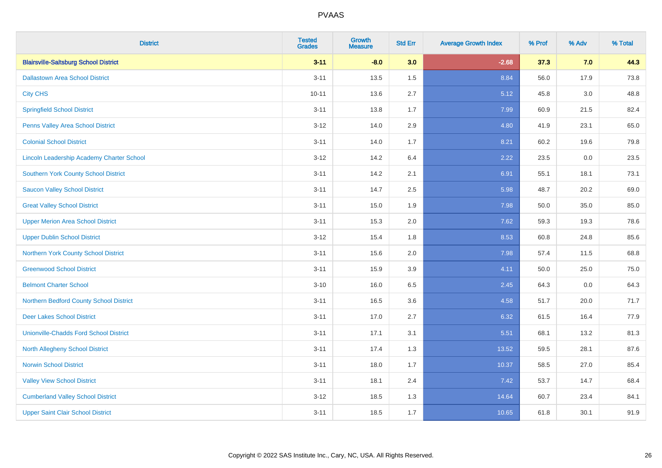| <b>District</b>                                  | <b>Tested</b><br><b>Grades</b> | <b>Growth</b><br><b>Measure</b> | <b>Std Err</b> | <b>Average Growth Index</b> | % Prof | % Adv | % Total |
|--------------------------------------------------|--------------------------------|---------------------------------|----------------|-----------------------------|--------|-------|---------|
| <b>Blairsville-Saltsburg School District</b>     | $3 - 11$                       | $-8.0$                          | 3.0            | $-2.68$                     | 37.3   | 7.0   | 44.3    |
| <b>Dallastown Area School District</b>           | $3 - 11$                       | 13.5                            | 1.5            | 8.84                        | 56.0   | 17.9  | 73.8    |
| <b>City CHS</b>                                  | $10 - 11$                      | 13.6                            | 2.7            | 5.12                        | 45.8   | 3.0   | 48.8    |
| <b>Springfield School District</b>               | $3 - 11$                       | 13.8                            | 1.7            | 7.99                        | 60.9   | 21.5  | 82.4    |
| Penns Valley Area School District                | $3 - 12$                       | 14.0                            | 2.9            | 4.80                        | 41.9   | 23.1  | 65.0    |
| <b>Colonial School District</b>                  | $3 - 11$                       | 14.0                            | 1.7            | 8.21                        | 60.2   | 19.6  | 79.8    |
| <b>Lincoln Leadership Academy Charter School</b> | $3 - 12$                       | 14.2                            | 6.4            | 2.22                        | 23.5   | 0.0   | 23.5    |
| <b>Southern York County School District</b>      | $3 - 11$                       | 14.2                            | 2.1            | 6.91                        | 55.1   | 18.1  | 73.1    |
| <b>Saucon Valley School District</b>             | $3 - 11$                       | 14.7                            | 2.5            | 5.98                        | 48.7   | 20.2  | 69.0    |
| <b>Great Valley School District</b>              | $3 - 11$                       | 15.0                            | 1.9            | 7.98                        | 50.0   | 35.0  | 85.0    |
| <b>Upper Merion Area School District</b>         | $3 - 11$                       | 15.3                            | 2.0            | 7.62                        | 59.3   | 19.3  | 78.6    |
| <b>Upper Dublin School District</b>              | $3 - 12$                       | 15.4                            | 1.8            | 8.53                        | 60.8   | 24.8  | 85.6    |
| Northern York County School District             | $3 - 11$                       | 15.6                            | 2.0            | 7.98                        | 57.4   | 11.5  | 68.8    |
| <b>Greenwood School District</b>                 | $3 - 11$                       | 15.9                            | 3.9            | 4.11                        | 50.0   | 25.0  | 75.0    |
| <b>Belmont Charter School</b>                    | $3 - 10$                       | 16.0                            | 6.5            | 2.45                        | 64.3   | 0.0   | 64.3    |
| Northern Bedford County School District          | $3 - 11$                       | 16.5                            | 3.6            | 4.58                        | 51.7   | 20.0  | 71.7    |
| <b>Deer Lakes School District</b>                | $3 - 11$                       | 17.0                            | 2.7            | 6.32                        | 61.5   | 16.4  | 77.9    |
| <b>Unionville-Chadds Ford School District</b>    | $3 - 11$                       | 17.1                            | 3.1            | 5.51                        | 68.1   | 13.2  | 81.3    |
| <b>North Allegheny School District</b>           | $3 - 11$                       | 17.4                            | 1.3            | 13.52                       | 59.5   | 28.1  | 87.6    |
| <b>Norwin School District</b>                    | $3 - 11$                       | 18.0                            | 1.7            | 10.37                       | 58.5   | 27.0  | 85.4    |
| <b>Valley View School District</b>               | $3 - 11$                       | 18.1                            | 2.4            | 7.42                        | 53.7   | 14.7  | 68.4    |
| <b>Cumberland Valley School District</b>         | $3 - 12$                       | 18.5                            | 1.3            | 14.64                       | 60.7   | 23.4  | 84.1    |
| <b>Upper Saint Clair School District</b>         | $3 - 11$                       | 18.5                            | 1.7            | 10.65                       | 61.8   | 30.1  | 91.9    |